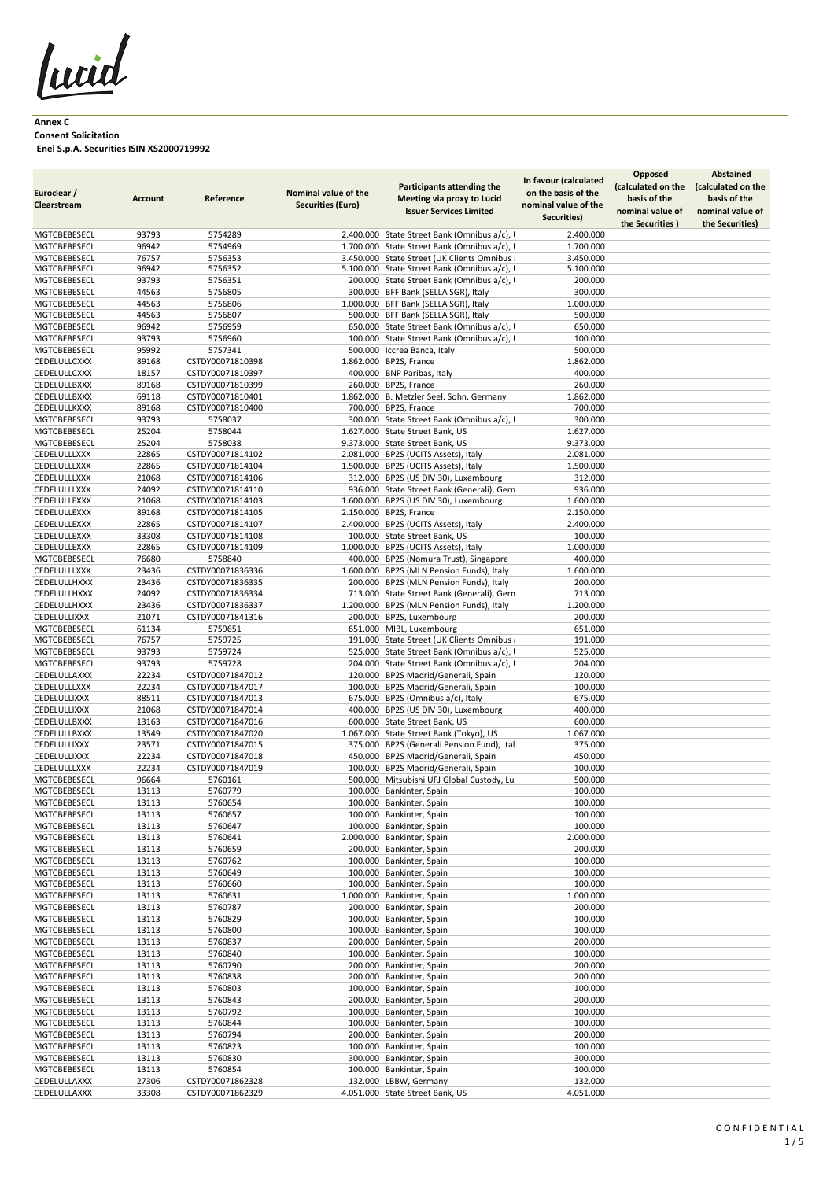lucid

## **Annex C Consent Solicitation Enel S.p.A. Securities ISIN XS2000719992**

| MGTCBEBESECL<br>5754289<br>93793<br>2.400.000 State Street Bank (Omnibus a/c), l<br>2.400.000<br>1.700.000 State Street Bank (Omnibus a/c), l<br>MGTCBEBESECL<br>96942<br>5754969<br>1.700.000<br>MGTCBEBESECL<br>3.450.000 State Street (UK Clients Omnibus a<br>76757<br>5756353<br>3.450.000<br>MGTCBEBESECL<br>96942<br>5756352<br>5.100.000 State Street Bank (Omnibus a/c), l<br>5.100.000<br>MGTCBEBESECL<br>93793<br>5756351<br>200.000 State Street Bank (Omnibus a/c), I<br>200.000<br>MGTCBEBESECL<br>44563<br>5756805<br>300.000 BFF Bank (SELLA SGR), Italy<br>300.000<br>MGTCBEBESECL<br>44563<br>5756806<br>1.000.000 BFF Bank (SELLA SGR), Italy<br>1.000.000<br>500.000 BFF Bank (SELLA SGR), Italy<br>MGTCBEBESECL<br>44563<br>5756807<br>500.000<br>650.000 State Street Bank (Omnibus a/c), I<br>MGTCBEBESECL<br>96942<br>5756959<br>650.000<br>MGTCBEBESECL<br>93793<br>5756960<br>100.000 State Street Bank (Omnibus a/c), I<br>100.000<br>MGTCBEBESECL<br>95992<br>5757341<br>500.000 Iccrea Banca, Italy<br>500.000<br>CEDELULLCXXX<br>89168<br>CSTDY00071810398<br>1.862.000 BP2S, France<br>1.862.000<br>CEDELULLCXXX<br>18157<br>400.000 BNP Paribas, Italy<br>CSTDY00071810397<br>400.000<br>89168<br>260.000 BP2S, France<br>260.000<br>CEDELULLBXXX<br>CSTDY00071810399<br>69118<br>1.862.000 B. Metzler Seel. Sohn, Germany<br>1.862.000<br>CEDELULLBXXX<br>CSTDY00071810401<br>CEDELULLKXXX<br>89168<br>CSTDY00071810400<br>700.000 BP2S, France<br>700.000<br>MGTCBEBESECL<br>93793<br>5758037<br>300.000 State Street Bank (Omnibus a/c), I<br>300.000<br>MGTCBEBESECL<br>25204<br>5758044<br>1.627.000 State Street Bank, US<br>1.627.000<br>MGTCBEBESECL<br>5758038<br>9.373.000 State Street Bank, US<br>25204<br>9.373.000<br>CSTDY00071814102<br>2.081.000 BP2S (UCITS Assets), Italy<br><b>CEDELULLLXXX</b><br>22865<br>2.081.000<br>CEDELULLLXXX<br>1.500.000 BP2S (UCITS Assets), Italy<br>22865<br>CSTDY00071814104<br>1.500.000<br>CEDELULLLXXX<br>21068<br>CSTDY00071814106<br>312.000 BP2S (US DIV 30), Luxembourg<br>312.000<br>936.000 State Street Bank (Generali), Gern<br>CEDELULLLXXX<br>24092<br>CSTDY00071814110<br>936.000<br>CEDELULLEXXX<br>21068<br>CSTDY00071814103<br>1.600.000 BP2S (US DIV 30), Luxembourg<br>1.600.000<br>CEDELULLEXXX<br>89168<br>CSTDY00071814105<br>2.150.000 BP2S, France<br>2.150.000<br>2.400.000 BP2S (UCITS Assets), Italy<br>CEDELULLEXXX<br>22865<br>CSTDY00071814107<br>2.400.000<br>CEDELULLEXXX<br>33308<br>100.000 State Street Bank, US<br>100.000<br>CSTDY00071814108<br>CEDELULLEXXX<br>22865<br>1.000.000 BP2S (UCITS Assets), Italy<br>1.000.000<br>CSTDY00071814109<br><b>MGTCBEBESECL</b><br>76680<br>5758840<br>400.000 BP2S (Nomura Trust), Singapore<br>400.000<br>1.600.000 BP2S (MLN Pension Funds), Italy<br>CEDELULLLXXX<br>23436<br>CSTDY00071836336<br>1.600.000<br>200.000 BP2S (MLN Pension Funds), Italy<br>CEDELULLHXXX<br>23436<br>CSTDY00071836335<br>200.000<br>24092<br>713.000<br>CEDELULLHXXX<br>CSTDY00071836334<br>713.000 State Street Bank (Generali), Gern<br>CEDELULLHXXX<br>23436<br>CSTDY00071836337<br>1.200.000 BP2S (MLN Pension Funds), Italy<br>1.200.000<br>CEDELULLIXXX<br>21071<br>200.000 BP2S, Luxembourg<br>200.000<br>CSTDY00071841316<br>MGTCBEBESECL<br>61134<br>5759651<br>651.000 MIBL, Luxembourg<br>651.000<br>MGTCBEBESECL<br>76757<br>5759725<br>191.000 State Street (UK Clients Omnibus a<br>191.000<br>MGTCBEBESECL<br>93793<br>5759724<br>525.000 State Street Bank (Omnibus a/c), I<br>525.000<br>MGTCBEBESECL<br>93793<br>5759728<br>204.000 State Street Bank (Omnibus a/c), I<br>204.000<br>CEDELULLAXXX<br>CSTDY00071847012<br>120.000 BP2S Madrid/Generali, Spain<br>120.000<br>22234<br>CEDELULLLXXX<br>22234<br>CSTDY00071847017<br>100.000 BP2S Madrid/Generali, Spain<br>100.000<br>675.000 BP2S (Omnibus a/c), Italy<br>CEDELULLIXXX<br>CSTDY00071847013<br>675.000<br>88511<br>CEDELULLIXXX<br>21068<br>400.000 BP2S (US DIV 30), Luxembourg<br>400.000<br>CSTDY00071847014<br>CEDELULLBXXX<br>600.000 State Street Bank, US<br>600.000<br>13163<br>CSTDY00071847016<br>CEDELULLBXXX<br>1.067.000 State Street Bank (Tokyo), US<br>1.067.000<br>13549<br>CSTDY00071847020<br>CEDELULLIXXX<br>23571<br>CSTDY00071847015<br>375.000 BP2S (Generali Pension Fund), Ital<br>375.000<br>CEDELULLIXXX<br>22234<br>CSTDY00071847018<br>450.000 BP2S Madrid/Generali, Spain<br>450.000<br>CEDELULLLXXX<br>22234<br>CSTDY00071847019<br>100.000 BP2S Madrid/Generali, Spain<br>100.000<br>96664<br>5760161<br>500.000 Mitsubishi UFJ Global Custody, Lu:<br>500.000<br>MGTCBEBESECL<br>5760779<br>MGTCBEBESECL<br>13113<br>100.000 Bankinter, Spain<br>100.000<br>MGTCBEBESECL<br>13113<br>5760654<br>100.000 Bankinter, Spain<br>100.000<br>MGTCBEBESECL<br>5760657<br>100.000 Bankinter, Spain<br>100.000<br>13113<br>MGTCBEBESECL<br>5760647<br>100.000 Bankinter, Spain<br>100.000<br>13113<br>2.000.000 Bankinter, Spain<br>MGTCBEBESECL<br>13113<br>5760641<br>2.000.000<br>MGTCBEBESECL<br>5760659<br>200.000 Bankinter, Spain<br>200.000<br>13113<br>MGTCBEBESECL<br>5760762<br>100.000 Bankinter, Spain<br>100.000<br>13113<br>MGTCBEBESECL<br>5760649<br>100.000 Bankinter, Spain<br>100.000<br>13113<br>MGTCBEBESECL<br>5760660<br>100.000 Bankinter, Spain<br>100.000<br>13113<br>MGTCBEBESECL<br>13113<br>5760631<br>1.000.000 Bankinter, Spain<br>1.000.000<br>MGTCBEBESECL<br>13113<br>5760787<br>200.000<br>200.000 Bankinter, Spain<br>MGTCBEBESECL<br>5760829<br>100.000 Bankinter, Spain<br>100.000<br>13113<br>MGTCBEBESECL<br>5760800<br>100.000<br>13113<br>100.000 Bankinter, Spain<br>MGTCBEBESECL<br>13113<br>5760837<br>200.000 Bankinter, Spain<br>200.000<br>MGTCBEBESECL<br>13113<br>5760840<br>100.000 Bankinter, Spain<br>100.000<br>MGTCBEBESECL<br>13113<br>5760790<br>200.000 Bankinter, Spain<br>200.000<br>5760838<br>200.000 Bankinter, Spain<br>MGTCBEBESECL<br>13113<br>200.000<br>MGTCBEBESECL<br>5760803<br>100.000 Bankinter, Spain<br>13113<br>100.000<br>MGTCBEBESECL<br>13113<br>5760843<br>200.000 Bankinter, Spain<br>200.000<br>MGTCBEBESECL<br>5760792<br>100.000<br>13113<br>100.000 Bankinter, Spain<br>MGTCBEBESECL<br>13113<br>5760844<br>100.000 Bankinter, Spain<br>100.000<br>MGTCBEBESECL<br>13113<br>5760794<br>200.000 Bankinter, Spain<br>200.000<br>MGTCBEBESECL<br>13113<br>5760823<br>100.000 Bankinter, Spain<br>100.000<br>MGTCBEBESECL<br>300.000 Bankinter, Spain<br>300.000<br>13113<br>5760830<br>100.000 Bankinter, Spain<br>100.000<br>MGTCBEBESECL<br>13113<br>5760854<br>CEDELULLAXXX<br>27306<br>CSTDY00071862328<br>132.000 LBBW, Germany<br>132.000<br>CEDELULLAXXX<br>33308<br>CSTDY00071862329<br>4.051.000 State Street Bank, US<br>4.051.000 | Euroclear /<br>Clearstream | <b>Account</b> | Reference | Nominal value of the<br><b>Securities (Euro)</b> | <b>Participants attending the</b><br><b>Meeting via proxy to Lucid</b><br><b>Issuer Services Limited</b> | In favour (calculated<br>on the basis of the<br>nominal value of the<br>Securities) | <b>Opposed</b><br>(calculated on the<br>basis of the<br>nominal value of<br>the Securities) | <b>Abstained</b><br>(calculated on the<br>basis of the<br>nominal value of<br>the Securities) |
|----------------------------------------------------------------------------------------------------------------------------------------------------------------------------------------------------------------------------------------------------------------------------------------------------------------------------------------------------------------------------------------------------------------------------------------------------------------------------------------------------------------------------------------------------------------------------------------------------------------------------------------------------------------------------------------------------------------------------------------------------------------------------------------------------------------------------------------------------------------------------------------------------------------------------------------------------------------------------------------------------------------------------------------------------------------------------------------------------------------------------------------------------------------------------------------------------------------------------------------------------------------------------------------------------------------------------------------------------------------------------------------------------------------------------------------------------------------------------------------------------------------------------------------------------------------------------------------------------------------------------------------------------------------------------------------------------------------------------------------------------------------------------------------------------------------------------------------------------------------------------------------------------------------------------------------------------------------------------------------------------------------------------------------------------------------------------------------------------------------------------------------------------------------------------------------------------------------------------------------------------------------------------------------------------------------------------------------------------------------------------------------------------------------------------------------------------------------------------------------------------------------------------------------------------------------------------------------------------------------------------------------------------------------------------------------------------------------------------------------------------------------------------------------------------------------------------------------------------------------------------------------------------------------------------------------------------------------------------------------------------------------------------------------------------------------------------------------------------------------------------------------------------------------------------------------------------------------------------------------------------------------------------------------------------------------------------------------------------------------------------------------------------------------------------------------------------------------------------------------------------------------------------------------------------------------------------------------------------------------------------------------------------------------------------------------------------------------------------------------------------------------------------------------------------------------------------------------------------------------------------------------------------------------------------------------------------------------------------------------------------------------------------------------------------------------------------------------------------------------------------------------------------------------------------------------------------------------------------------------------------------------------------------------------------------------------------------------------------------------------------------------------------------------------------------------------------------------------------------------------------------------------------------------------------------------------------------------------------------------------------------------------------------------------------------------------------------------------------------------------------------------------------------------------------------------------------------------------------------------------------------------------------------------------------------------------------------------------------------------------------------------------------------------------------------------------------------------------------------------------------------------------------------------------------------------------------------------------------------------------------------------------------------------------------------------------------------------------------------------------------------------------------------------------------------------------------------------------------------------------------------------------------------------------------------------------------------------------------------------------------------------------------------------------------------------------------------------------------------------------------------------------------------------------------------------------------------------------------------------------------------------------------------------------------------------------------------------------------------------------------------------------------------------------------------------------------------------------------------------------------------------------------------------------------------------------------------------------------------------------------------------------------------------------------------------------------------------------------------------------------------------------------------------------------------------------------------------------------------------------------------------------------------------------------------------------------------------------------------------------------------------------------------------------------------------------------------------------------------------------------------------------------------------|----------------------------|----------------|-----------|--------------------------------------------------|----------------------------------------------------------------------------------------------------------|-------------------------------------------------------------------------------------|---------------------------------------------------------------------------------------------|-----------------------------------------------------------------------------------------------|
|                                                                                                                                                                                                                                                                                                                                                                                                                                                                                                                                                                                                                                                                                                                                                                                                                                                                                                                                                                                                                                                                                                                                                                                                                                                                                                                                                                                                                                                                                                                                                                                                                                                                                                                                                                                                                                                                                                                                                                                                                                                                                                                                                                                                                                                                                                                                                                                                                                                                                                                                                                                                                                                                                                                                                                                                                                                                                                                                                                                                                                                                                                                                                                                                                                                                                                                                                                                                                                                                                                                                                                                                                                                                                                                                                                                                                                                                                                                                                                                                                                                                                                                                                                                                                                                                                                                                                                                                                                                                                                                                                                                                                                                                                                                                                                                                                                                                                                                                                                                                                                                                                                                                                                                                                                                                                                                                                                                                                                                                                                                                                                                                                                                                                                                                                                                                                                                                                                                                                                                                                                                                                                                                                                                                                                                                                                                                                                                                                                                                                                                                                                                                                                                                                                                                                                                        |                            |                |           |                                                  |                                                                                                          |                                                                                     |                                                                                             |                                                                                               |
|                                                                                                                                                                                                                                                                                                                                                                                                                                                                                                                                                                                                                                                                                                                                                                                                                                                                                                                                                                                                                                                                                                                                                                                                                                                                                                                                                                                                                                                                                                                                                                                                                                                                                                                                                                                                                                                                                                                                                                                                                                                                                                                                                                                                                                                                                                                                                                                                                                                                                                                                                                                                                                                                                                                                                                                                                                                                                                                                                                                                                                                                                                                                                                                                                                                                                                                                                                                                                                                                                                                                                                                                                                                                                                                                                                                                                                                                                                                                                                                                                                                                                                                                                                                                                                                                                                                                                                                                                                                                                                                                                                                                                                                                                                                                                                                                                                                                                                                                                                                                                                                                                                                                                                                                                                                                                                                                                                                                                                                                                                                                                                                                                                                                                                                                                                                                                                                                                                                                                                                                                                                                                                                                                                                                                                                                                                                                                                                                                                                                                                                                                                                                                                                                                                                                                                                        |                            |                |           |                                                  |                                                                                                          |                                                                                     |                                                                                             |                                                                                               |
|                                                                                                                                                                                                                                                                                                                                                                                                                                                                                                                                                                                                                                                                                                                                                                                                                                                                                                                                                                                                                                                                                                                                                                                                                                                                                                                                                                                                                                                                                                                                                                                                                                                                                                                                                                                                                                                                                                                                                                                                                                                                                                                                                                                                                                                                                                                                                                                                                                                                                                                                                                                                                                                                                                                                                                                                                                                                                                                                                                                                                                                                                                                                                                                                                                                                                                                                                                                                                                                                                                                                                                                                                                                                                                                                                                                                                                                                                                                                                                                                                                                                                                                                                                                                                                                                                                                                                                                                                                                                                                                                                                                                                                                                                                                                                                                                                                                                                                                                                                                                                                                                                                                                                                                                                                                                                                                                                                                                                                                                                                                                                                                                                                                                                                                                                                                                                                                                                                                                                                                                                                                                                                                                                                                                                                                                                                                                                                                                                                                                                                                                                                                                                                                                                                                                                                                        |                            |                |           |                                                  |                                                                                                          |                                                                                     |                                                                                             |                                                                                               |
|                                                                                                                                                                                                                                                                                                                                                                                                                                                                                                                                                                                                                                                                                                                                                                                                                                                                                                                                                                                                                                                                                                                                                                                                                                                                                                                                                                                                                                                                                                                                                                                                                                                                                                                                                                                                                                                                                                                                                                                                                                                                                                                                                                                                                                                                                                                                                                                                                                                                                                                                                                                                                                                                                                                                                                                                                                                                                                                                                                                                                                                                                                                                                                                                                                                                                                                                                                                                                                                                                                                                                                                                                                                                                                                                                                                                                                                                                                                                                                                                                                                                                                                                                                                                                                                                                                                                                                                                                                                                                                                                                                                                                                                                                                                                                                                                                                                                                                                                                                                                                                                                                                                                                                                                                                                                                                                                                                                                                                                                                                                                                                                                                                                                                                                                                                                                                                                                                                                                                                                                                                                                                                                                                                                                                                                                                                                                                                                                                                                                                                                                                                                                                                                                                                                                                                                        |                            |                |           |                                                  |                                                                                                          |                                                                                     |                                                                                             |                                                                                               |
|                                                                                                                                                                                                                                                                                                                                                                                                                                                                                                                                                                                                                                                                                                                                                                                                                                                                                                                                                                                                                                                                                                                                                                                                                                                                                                                                                                                                                                                                                                                                                                                                                                                                                                                                                                                                                                                                                                                                                                                                                                                                                                                                                                                                                                                                                                                                                                                                                                                                                                                                                                                                                                                                                                                                                                                                                                                                                                                                                                                                                                                                                                                                                                                                                                                                                                                                                                                                                                                                                                                                                                                                                                                                                                                                                                                                                                                                                                                                                                                                                                                                                                                                                                                                                                                                                                                                                                                                                                                                                                                                                                                                                                                                                                                                                                                                                                                                                                                                                                                                                                                                                                                                                                                                                                                                                                                                                                                                                                                                                                                                                                                                                                                                                                                                                                                                                                                                                                                                                                                                                                                                                                                                                                                                                                                                                                                                                                                                                                                                                                                                                                                                                                                                                                                                                                                        |                            |                |           |                                                  |                                                                                                          |                                                                                     |                                                                                             |                                                                                               |
|                                                                                                                                                                                                                                                                                                                                                                                                                                                                                                                                                                                                                                                                                                                                                                                                                                                                                                                                                                                                                                                                                                                                                                                                                                                                                                                                                                                                                                                                                                                                                                                                                                                                                                                                                                                                                                                                                                                                                                                                                                                                                                                                                                                                                                                                                                                                                                                                                                                                                                                                                                                                                                                                                                                                                                                                                                                                                                                                                                                                                                                                                                                                                                                                                                                                                                                                                                                                                                                                                                                                                                                                                                                                                                                                                                                                                                                                                                                                                                                                                                                                                                                                                                                                                                                                                                                                                                                                                                                                                                                                                                                                                                                                                                                                                                                                                                                                                                                                                                                                                                                                                                                                                                                                                                                                                                                                                                                                                                                                                                                                                                                                                                                                                                                                                                                                                                                                                                                                                                                                                                                                                                                                                                                                                                                                                                                                                                                                                                                                                                                                                                                                                                                                                                                                                                                        |                            |                |           |                                                  |                                                                                                          |                                                                                     |                                                                                             |                                                                                               |
|                                                                                                                                                                                                                                                                                                                                                                                                                                                                                                                                                                                                                                                                                                                                                                                                                                                                                                                                                                                                                                                                                                                                                                                                                                                                                                                                                                                                                                                                                                                                                                                                                                                                                                                                                                                                                                                                                                                                                                                                                                                                                                                                                                                                                                                                                                                                                                                                                                                                                                                                                                                                                                                                                                                                                                                                                                                                                                                                                                                                                                                                                                                                                                                                                                                                                                                                                                                                                                                                                                                                                                                                                                                                                                                                                                                                                                                                                                                                                                                                                                                                                                                                                                                                                                                                                                                                                                                                                                                                                                                                                                                                                                                                                                                                                                                                                                                                                                                                                                                                                                                                                                                                                                                                                                                                                                                                                                                                                                                                                                                                                                                                                                                                                                                                                                                                                                                                                                                                                                                                                                                                                                                                                                                                                                                                                                                                                                                                                                                                                                                                                                                                                                                                                                                                                                                        |                            |                |           |                                                  |                                                                                                          |                                                                                     |                                                                                             |                                                                                               |
|                                                                                                                                                                                                                                                                                                                                                                                                                                                                                                                                                                                                                                                                                                                                                                                                                                                                                                                                                                                                                                                                                                                                                                                                                                                                                                                                                                                                                                                                                                                                                                                                                                                                                                                                                                                                                                                                                                                                                                                                                                                                                                                                                                                                                                                                                                                                                                                                                                                                                                                                                                                                                                                                                                                                                                                                                                                                                                                                                                                                                                                                                                                                                                                                                                                                                                                                                                                                                                                                                                                                                                                                                                                                                                                                                                                                                                                                                                                                                                                                                                                                                                                                                                                                                                                                                                                                                                                                                                                                                                                                                                                                                                                                                                                                                                                                                                                                                                                                                                                                                                                                                                                                                                                                                                                                                                                                                                                                                                                                                                                                                                                                                                                                                                                                                                                                                                                                                                                                                                                                                                                                                                                                                                                                                                                                                                                                                                                                                                                                                                                                                                                                                                                                                                                                                                                        |                            |                |           |                                                  |                                                                                                          |                                                                                     |                                                                                             |                                                                                               |
|                                                                                                                                                                                                                                                                                                                                                                                                                                                                                                                                                                                                                                                                                                                                                                                                                                                                                                                                                                                                                                                                                                                                                                                                                                                                                                                                                                                                                                                                                                                                                                                                                                                                                                                                                                                                                                                                                                                                                                                                                                                                                                                                                                                                                                                                                                                                                                                                                                                                                                                                                                                                                                                                                                                                                                                                                                                                                                                                                                                                                                                                                                                                                                                                                                                                                                                                                                                                                                                                                                                                                                                                                                                                                                                                                                                                                                                                                                                                                                                                                                                                                                                                                                                                                                                                                                                                                                                                                                                                                                                                                                                                                                                                                                                                                                                                                                                                                                                                                                                                                                                                                                                                                                                                                                                                                                                                                                                                                                                                                                                                                                                                                                                                                                                                                                                                                                                                                                                                                                                                                                                                                                                                                                                                                                                                                                                                                                                                                                                                                                                                                                                                                                                                                                                                                                                        |                            |                |           |                                                  |                                                                                                          |                                                                                     |                                                                                             |                                                                                               |
|                                                                                                                                                                                                                                                                                                                                                                                                                                                                                                                                                                                                                                                                                                                                                                                                                                                                                                                                                                                                                                                                                                                                                                                                                                                                                                                                                                                                                                                                                                                                                                                                                                                                                                                                                                                                                                                                                                                                                                                                                                                                                                                                                                                                                                                                                                                                                                                                                                                                                                                                                                                                                                                                                                                                                                                                                                                                                                                                                                                                                                                                                                                                                                                                                                                                                                                                                                                                                                                                                                                                                                                                                                                                                                                                                                                                                                                                                                                                                                                                                                                                                                                                                                                                                                                                                                                                                                                                                                                                                                                                                                                                                                                                                                                                                                                                                                                                                                                                                                                                                                                                                                                                                                                                                                                                                                                                                                                                                                                                                                                                                                                                                                                                                                                                                                                                                                                                                                                                                                                                                                                                                                                                                                                                                                                                                                                                                                                                                                                                                                                                                                                                                                                                                                                                                                                        |                            |                |           |                                                  |                                                                                                          |                                                                                     |                                                                                             |                                                                                               |
|                                                                                                                                                                                                                                                                                                                                                                                                                                                                                                                                                                                                                                                                                                                                                                                                                                                                                                                                                                                                                                                                                                                                                                                                                                                                                                                                                                                                                                                                                                                                                                                                                                                                                                                                                                                                                                                                                                                                                                                                                                                                                                                                                                                                                                                                                                                                                                                                                                                                                                                                                                                                                                                                                                                                                                                                                                                                                                                                                                                                                                                                                                                                                                                                                                                                                                                                                                                                                                                                                                                                                                                                                                                                                                                                                                                                                                                                                                                                                                                                                                                                                                                                                                                                                                                                                                                                                                                                                                                                                                                                                                                                                                                                                                                                                                                                                                                                                                                                                                                                                                                                                                                                                                                                                                                                                                                                                                                                                                                                                                                                                                                                                                                                                                                                                                                                                                                                                                                                                                                                                                                                                                                                                                                                                                                                                                                                                                                                                                                                                                                                                                                                                                                                                                                                                                                        |                            |                |           |                                                  |                                                                                                          |                                                                                     |                                                                                             |                                                                                               |
|                                                                                                                                                                                                                                                                                                                                                                                                                                                                                                                                                                                                                                                                                                                                                                                                                                                                                                                                                                                                                                                                                                                                                                                                                                                                                                                                                                                                                                                                                                                                                                                                                                                                                                                                                                                                                                                                                                                                                                                                                                                                                                                                                                                                                                                                                                                                                                                                                                                                                                                                                                                                                                                                                                                                                                                                                                                                                                                                                                                                                                                                                                                                                                                                                                                                                                                                                                                                                                                                                                                                                                                                                                                                                                                                                                                                                                                                                                                                                                                                                                                                                                                                                                                                                                                                                                                                                                                                                                                                                                                                                                                                                                                                                                                                                                                                                                                                                                                                                                                                                                                                                                                                                                                                                                                                                                                                                                                                                                                                                                                                                                                                                                                                                                                                                                                                                                                                                                                                                                                                                                                                                                                                                                                                                                                                                                                                                                                                                                                                                                                                                                                                                                                                                                                                                                                        |                            |                |           |                                                  |                                                                                                          |                                                                                     |                                                                                             |                                                                                               |
|                                                                                                                                                                                                                                                                                                                                                                                                                                                                                                                                                                                                                                                                                                                                                                                                                                                                                                                                                                                                                                                                                                                                                                                                                                                                                                                                                                                                                                                                                                                                                                                                                                                                                                                                                                                                                                                                                                                                                                                                                                                                                                                                                                                                                                                                                                                                                                                                                                                                                                                                                                                                                                                                                                                                                                                                                                                                                                                                                                                                                                                                                                                                                                                                                                                                                                                                                                                                                                                                                                                                                                                                                                                                                                                                                                                                                                                                                                                                                                                                                                                                                                                                                                                                                                                                                                                                                                                                                                                                                                                                                                                                                                                                                                                                                                                                                                                                                                                                                                                                                                                                                                                                                                                                                                                                                                                                                                                                                                                                                                                                                                                                                                                                                                                                                                                                                                                                                                                                                                                                                                                                                                                                                                                                                                                                                                                                                                                                                                                                                                                                                                                                                                                                                                                                                                                        |                            |                |           |                                                  |                                                                                                          |                                                                                     |                                                                                             |                                                                                               |
|                                                                                                                                                                                                                                                                                                                                                                                                                                                                                                                                                                                                                                                                                                                                                                                                                                                                                                                                                                                                                                                                                                                                                                                                                                                                                                                                                                                                                                                                                                                                                                                                                                                                                                                                                                                                                                                                                                                                                                                                                                                                                                                                                                                                                                                                                                                                                                                                                                                                                                                                                                                                                                                                                                                                                                                                                                                                                                                                                                                                                                                                                                                                                                                                                                                                                                                                                                                                                                                                                                                                                                                                                                                                                                                                                                                                                                                                                                                                                                                                                                                                                                                                                                                                                                                                                                                                                                                                                                                                                                                                                                                                                                                                                                                                                                                                                                                                                                                                                                                                                                                                                                                                                                                                                                                                                                                                                                                                                                                                                                                                                                                                                                                                                                                                                                                                                                                                                                                                                                                                                                                                                                                                                                                                                                                                                                                                                                                                                                                                                                                                                                                                                                                                                                                                                                                        |                            |                |           |                                                  |                                                                                                          |                                                                                     |                                                                                             |                                                                                               |
|                                                                                                                                                                                                                                                                                                                                                                                                                                                                                                                                                                                                                                                                                                                                                                                                                                                                                                                                                                                                                                                                                                                                                                                                                                                                                                                                                                                                                                                                                                                                                                                                                                                                                                                                                                                                                                                                                                                                                                                                                                                                                                                                                                                                                                                                                                                                                                                                                                                                                                                                                                                                                                                                                                                                                                                                                                                                                                                                                                                                                                                                                                                                                                                                                                                                                                                                                                                                                                                                                                                                                                                                                                                                                                                                                                                                                                                                                                                                                                                                                                                                                                                                                                                                                                                                                                                                                                                                                                                                                                                                                                                                                                                                                                                                                                                                                                                                                                                                                                                                                                                                                                                                                                                                                                                                                                                                                                                                                                                                                                                                                                                                                                                                                                                                                                                                                                                                                                                                                                                                                                                                                                                                                                                                                                                                                                                                                                                                                                                                                                                                                                                                                                                                                                                                                                                        |                            |                |           |                                                  |                                                                                                          |                                                                                     |                                                                                             |                                                                                               |
|                                                                                                                                                                                                                                                                                                                                                                                                                                                                                                                                                                                                                                                                                                                                                                                                                                                                                                                                                                                                                                                                                                                                                                                                                                                                                                                                                                                                                                                                                                                                                                                                                                                                                                                                                                                                                                                                                                                                                                                                                                                                                                                                                                                                                                                                                                                                                                                                                                                                                                                                                                                                                                                                                                                                                                                                                                                                                                                                                                                                                                                                                                                                                                                                                                                                                                                                                                                                                                                                                                                                                                                                                                                                                                                                                                                                                                                                                                                                                                                                                                                                                                                                                                                                                                                                                                                                                                                                                                                                                                                                                                                                                                                                                                                                                                                                                                                                                                                                                                                                                                                                                                                                                                                                                                                                                                                                                                                                                                                                                                                                                                                                                                                                                                                                                                                                                                                                                                                                                                                                                                                                                                                                                                                                                                                                                                                                                                                                                                                                                                                                                                                                                                                                                                                                                                                        |                            |                |           |                                                  |                                                                                                          |                                                                                     |                                                                                             |                                                                                               |
|                                                                                                                                                                                                                                                                                                                                                                                                                                                                                                                                                                                                                                                                                                                                                                                                                                                                                                                                                                                                                                                                                                                                                                                                                                                                                                                                                                                                                                                                                                                                                                                                                                                                                                                                                                                                                                                                                                                                                                                                                                                                                                                                                                                                                                                                                                                                                                                                                                                                                                                                                                                                                                                                                                                                                                                                                                                                                                                                                                                                                                                                                                                                                                                                                                                                                                                                                                                                                                                                                                                                                                                                                                                                                                                                                                                                                                                                                                                                                                                                                                                                                                                                                                                                                                                                                                                                                                                                                                                                                                                                                                                                                                                                                                                                                                                                                                                                                                                                                                                                                                                                                                                                                                                                                                                                                                                                                                                                                                                                                                                                                                                                                                                                                                                                                                                                                                                                                                                                                                                                                                                                                                                                                                                                                                                                                                                                                                                                                                                                                                                                                                                                                                                                                                                                                                                        |                            |                |           |                                                  |                                                                                                          |                                                                                     |                                                                                             |                                                                                               |
|                                                                                                                                                                                                                                                                                                                                                                                                                                                                                                                                                                                                                                                                                                                                                                                                                                                                                                                                                                                                                                                                                                                                                                                                                                                                                                                                                                                                                                                                                                                                                                                                                                                                                                                                                                                                                                                                                                                                                                                                                                                                                                                                                                                                                                                                                                                                                                                                                                                                                                                                                                                                                                                                                                                                                                                                                                                                                                                                                                                                                                                                                                                                                                                                                                                                                                                                                                                                                                                                                                                                                                                                                                                                                                                                                                                                                                                                                                                                                                                                                                                                                                                                                                                                                                                                                                                                                                                                                                                                                                                                                                                                                                                                                                                                                                                                                                                                                                                                                                                                                                                                                                                                                                                                                                                                                                                                                                                                                                                                                                                                                                                                                                                                                                                                                                                                                                                                                                                                                                                                                                                                                                                                                                                                                                                                                                                                                                                                                                                                                                                                                                                                                                                                                                                                                                                        |                            |                |           |                                                  |                                                                                                          |                                                                                     |                                                                                             |                                                                                               |
|                                                                                                                                                                                                                                                                                                                                                                                                                                                                                                                                                                                                                                                                                                                                                                                                                                                                                                                                                                                                                                                                                                                                                                                                                                                                                                                                                                                                                                                                                                                                                                                                                                                                                                                                                                                                                                                                                                                                                                                                                                                                                                                                                                                                                                                                                                                                                                                                                                                                                                                                                                                                                                                                                                                                                                                                                                                                                                                                                                                                                                                                                                                                                                                                                                                                                                                                                                                                                                                                                                                                                                                                                                                                                                                                                                                                                                                                                                                                                                                                                                                                                                                                                                                                                                                                                                                                                                                                                                                                                                                                                                                                                                                                                                                                                                                                                                                                                                                                                                                                                                                                                                                                                                                                                                                                                                                                                                                                                                                                                                                                                                                                                                                                                                                                                                                                                                                                                                                                                                                                                                                                                                                                                                                                                                                                                                                                                                                                                                                                                                                                                                                                                                                                                                                                                                                        |                            |                |           |                                                  |                                                                                                          |                                                                                     |                                                                                             |                                                                                               |
|                                                                                                                                                                                                                                                                                                                                                                                                                                                                                                                                                                                                                                                                                                                                                                                                                                                                                                                                                                                                                                                                                                                                                                                                                                                                                                                                                                                                                                                                                                                                                                                                                                                                                                                                                                                                                                                                                                                                                                                                                                                                                                                                                                                                                                                                                                                                                                                                                                                                                                                                                                                                                                                                                                                                                                                                                                                                                                                                                                                                                                                                                                                                                                                                                                                                                                                                                                                                                                                                                                                                                                                                                                                                                                                                                                                                                                                                                                                                                                                                                                                                                                                                                                                                                                                                                                                                                                                                                                                                                                                                                                                                                                                                                                                                                                                                                                                                                                                                                                                                                                                                                                                                                                                                                                                                                                                                                                                                                                                                                                                                                                                                                                                                                                                                                                                                                                                                                                                                                                                                                                                                                                                                                                                                                                                                                                                                                                                                                                                                                                                                                                                                                                                                                                                                                                                        |                            |                |           |                                                  |                                                                                                          |                                                                                     |                                                                                             |                                                                                               |
|                                                                                                                                                                                                                                                                                                                                                                                                                                                                                                                                                                                                                                                                                                                                                                                                                                                                                                                                                                                                                                                                                                                                                                                                                                                                                                                                                                                                                                                                                                                                                                                                                                                                                                                                                                                                                                                                                                                                                                                                                                                                                                                                                                                                                                                                                                                                                                                                                                                                                                                                                                                                                                                                                                                                                                                                                                                                                                                                                                                                                                                                                                                                                                                                                                                                                                                                                                                                                                                                                                                                                                                                                                                                                                                                                                                                                                                                                                                                                                                                                                                                                                                                                                                                                                                                                                                                                                                                                                                                                                                                                                                                                                                                                                                                                                                                                                                                                                                                                                                                                                                                                                                                                                                                                                                                                                                                                                                                                                                                                                                                                                                                                                                                                                                                                                                                                                                                                                                                                                                                                                                                                                                                                                                                                                                                                                                                                                                                                                                                                                                                                                                                                                                                                                                                                                                        |                            |                |           |                                                  |                                                                                                          |                                                                                     |                                                                                             |                                                                                               |
|                                                                                                                                                                                                                                                                                                                                                                                                                                                                                                                                                                                                                                                                                                                                                                                                                                                                                                                                                                                                                                                                                                                                                                                                                                                                                                                                                                                                                                                                                                                                                                                                                                                                                                                                                                                                                                                                                                                                                                                                                                                                                                                                                                                                                                                                                                                                                                                                                                                                                                                                                                                                                                                                                                                                                                                                                                                                                                                                                                                                                                                                                                                                                                                                                                                                                                                                                                                                                                                                                                                                                                                                                                                                                                                                                                                                                                                                                                                                                                                                                                                                                                                                                                                                                                                                                                                                                                                                                                                                                                                                                                                                                                                                                                                                                                                                                                                                                                                                                                                                                                                                                                                                                                                                                                                                                                                                                                                                                                                                                                                                                                                                                                                                                                                                                                                                                                                                                                                                                                                                                                                                                                                                                                                                                                                                                                                                                                                                                                                                                                                                                                                                                                                                                                                                                                                        |                            |                |           |                                                  |                                                                                                          |                                                                                     |                                                                                             |                                                                                               |
|                                                                                                                                                                                                                                                                                                                                                                                                                                                                                                                                                                                                                                                                                                                                                                                                                                                                                                                                                                                                                                                                                                                                                                                                                                                                                                                                                                                                                                                                                                                                                                                                                                                                                                                                                                                                                                                                                                                                                                                                                                                                                                                                                                                                                                                                                                                                                                                                                                                                                                                                                                                                                                                                                                                                                                                                                                                                                                                                                                                                                                                                                                                                                                                                                                                                                                                                                                                                                                                                                                                                                                                                                                                                                                                                                                                                                                                                                                                                                                                                                                                                                                                                                                                                                                                                                                                                                                                                                                                                                                                                                                                                                                                                                                                                                                                                                                                                                                                                                                                                                                                                                                                                                                                                                                                                                                                                                                                                                                                                                                                                                                                                                                                                                                                                                                                                                                                                                                                                                                                                                                                                                                                                                                                                                                                                                                                                                                                                                                                                                                                                                                                                                                                                                                                                                                                        |                            |                |           |                                                  |                                                                                                          |                                                                                     |                                                                                             |                                                                                               |
|                                                                                                                                                                                                                                                                                                                                                                                                                                                                                                                                                                                                                                                                                                                                                                                                                                                                                                                                                                                                                                                                                                                                                                                                                                                                                                                                                                                                                                                                                                                                                                                                                                                                                                                                                                                                                                                                                                                                                                                                                                                                                                                                                                                                                                                                                                                                                                                                                                                                                                                                                                                                                                                                                                                                                                                                                                                                                                                                                                                                                                                                                                                                                                                                                                                                                                                                                                                                                                                                                                                                                                                                                                                                                                                                                                                                                                                                                                                                                                                                                                                                                                                                                                                                                                                                                                                                                                                                                                                                                                                                                                                                                                                                                                                                                                                                                                                                                                                                                                                                                                                                                                                                                                                                                                                                                                                                                                                                                                                                                                                                                                                                                                                                                                                                                                                                                                                                                                                                                                                                                                                                                                                                                                                                                                                                                                                                                                                                                                                                                                                                                                                                                                                                                                                                                                                        |                            |                |           |                                                  |                                                                                                          |                                                                                     |                                                                                             |                                                                                               |
|                                                                                                                                                                                                                                                                                                                                                                                                                                                                                                                                                                                                                                                                                                                                                                                                                                                                                                                                                                                                                                                                                                                                                                                                                                                                                                                                                                                                                                                                                                                                                                                                                                                                                                                                                                                                                                                                                                                                                                                                                                                                                                                                                                                                                                                                                                                                                                                                                                                                                                                                                                                                                                                                                                                                                                                                                                                                                                                                                                                                                                                                                                                                                                                                                                                                                                                                                                                                                                                                                                                                                                                                                                                                                                                                                                                                                                                                                                                                                                                                                                                                                                                                                                                                                                                                                                                                                                                                                                                                                                                                                                                                                                                                                                                                                                                                                                                                                                                                                                                                                                                                                                                                                                                                                                                                                                                                                                                                                                                                                                                                                                                                                                                                                                                                                                                                                                                                                                                                                                                                                                                                                                                                                                                                                                                                                                                                                                                                                                                                                                                                                                                                                                                                                                                                                                                        |                            |                |           |                                                  |                                                                                                          |                                                                                     |                                                                                             |                                                                                               |
|                                                                                                                                                                                                                                                                                                                                                                                                                                                                                                                                                                                                                                                                                                                                                                                                                                                                                                                                                                                                                                                                                                                                                                                                                                                                                                                                                                                                                                                                                                                                                                                                                                                                                                                                                                                                                                                                                                                                                                                                                                                                                                                                                                                                                                                                                                                                                                                                                                                                                                                                                                                                                                                                                                                                                                                                                                                                                                                                                                                                                                                                                                                                                                                                                                                                                                                                                                                                                                                                                                                                                                                                                                                                                                                                                                                                                                                                                                                                                                                                                                                                                                                                                                                                                                                                                                                                                                                                                                                                                                                                                                                                                                                                                                                                                                                                                                                                                                                                                                                                                                                                                                                                                                                                                                                                                                                                                                                                                                                                                                                                                                                                                                                                                                                                                                                                                                                                                                                                                                                                                                                                                                                                                                                                                                                                                                                                                                                                                                                                                                                                                                                                                                                                                                                                                                                        |                            |                |           |                                                  |                                                                                                          |                                                                                     |                                                                                             |                                                                                               |
|                                                                                                                                                                                                                                                                                                                                                                                                                                                                                                                                                                                                                                                                                                                                                                                                                                                                                                                                                                                                                                                                                                                                                                                                                                                                                                                                                                                                                                                                                                                                                                                                                                                                                                                                                                                                                                                                                                                                                                                                                                                                                                                                                                                                                                                                                                                                                                                                                                                                                                                                                                                                                                                                                                                                                                                                                                                                                                                                                                                                                                                                                                                                                                                                                                                                                                                                                                                                                                                                                                                                                                                                                                                                                                                                                                                                                                                                                                                                                                                                                                                                                                                                                                                                                                                                                                                                                                                                                                                                                                                                                                                                                                                                                                                                                                                                                                                                                                                                                                                                                                                                                                                                                                                                                                                                                                                                                                                                                                                                                                                                                                                                                                                                                                                                                                                                                                                                                                                                                                                                                                                                                                                                                                                                                                                                                                                                                                                                                                                                                                                                                                                                                                                                                                                                                                                        |                            |                |           |                                                  |                                                                                                          |                                                                                     |                                                                                             |                                                                                               |
|                                                                                                                                                                                                                                                                                                                                                                                                                                                                                                                                                                                                                                                                                                                                                                                                                                                                                                                                                                                                                                                                                                                                                                                                                                                                                                                                                                                                                                                                                                                                                                                                                                                                                                                                                                                                                                                                                                                                                                                                                                                                                                                                                                                                                                                                                                                                                                                                                                                                                                                                                                                                                                                                                                                                                                                                                                                                                                                                                                                                                                                                                                                                                                                                                                                                                                                                                                                                                                                                                                                                                                                                                                                                                                                                                                                                                                                                                                                                                                                                                                                                                                                                                                                                                                                                                                                                                                                                                                                                                                                                                                                                                                                                                                                                                                                                                                                                                                                                                                                                                                                                                                                                                                                                                                                                                                                                                                                                                                                                                                                                                                                                                                                                                                                                                                                                                                                                                                                                                                                                                                                                                                                                                                                                                                                                                                                                                                                                                                                                                                                                                                                                                                                                                                                                                                                        |                            |                |           |                                                  |                                                                                                          |                                                                                     |                                                                                             |                                                                                               |
|                                                                                                                                                                                                                                                                                                                                                                                                                                                                                                                                                                                                                                                                                                                                                                                                                                                                                                                                                                                                                                                                                                                                                                                                                                                                                                                                                                                                                                                                                                                                                                                                                                                                                                                                                                                                                                                                                                                                                                                                                                                                                                                                                                                                                                                                                                                                                                                                                                                                                                                                                                                                                                                                                                                                                                                                                                                                                                                                                                                                                                                                                                                                                                                                                                                                                                                                                                                                                                                                                                                                                                                                                                                                                                                                                                                                                                                                                                                                                                                                                                                                                                                                                                                                                                                                                                                                                                                                                                                                                                                                                                                                                                                                                                                                                                                                                                                                                                                                                                                                                                                                                                                                                                                                                                                                                                                                                                                                                                                                                                                                                                                                                                                                                                                                                                                                                                                                                                                                                                                                                                                                                                                                                                                                                                                                                                                                                                                                                                                                                                                                                                                                                                                                                                                                                                                        |                            |                |           |                                                  |                                                                                                          |                                                                                     |                                                                                             |                                                                                               |
|                                                                                                                                                                                                                                                                                                                                                                                                                                                                                                                                                                                                                                                                                                                                                                                                                                                                                                                                                                                                                                                                                                                                                                                                                                                                                                                                                                                                                                                                                                                                                                                                                                                                                                                                                                                                                                                                                                                                                                                                                                                                                                                                                                                                                                                                                                                                                                                                                                                                                                                                                                                                                                                                                                                                                                                                                                                                                                                                                                                                                                                                                                                                                                                                                                                                                                                                                                                                                                                                                                                                                                                                                                                                                                                                                                                                                                                                                                                                                                                                                                                                                                                                                                                                                                                                                                                                                                                                                                                                                                                                                                                                                                                                                                                                                                                                                                                                                                                                                                                                                                                                                                                                                                                                                                                                                                                                                                                                                                                                                                                                                                                                                                                                                                                                                                                                                                                                                                                                                                                                                                                                                                                                                                                                                                                                                                                                                                                                                                                                                                                                                                                                                                                                                                                                                                                        |                            |                |           |                                                  |                                                                                                          |                                                                                     |                                                                                             |                                                                                               |
|                                                                                                                                                                                                                                                                                                                                                                                                                                                                                                                                                                                                                                                                                                                                                                                                                                                                                                                                                                                                                                                                                                                                                                                                                                                                                                                                                                                                                                                                                                                                                                                                                                                                                                                                                                                                                                                                                                                                                                                                                                                                                                                                                                                                                                                                                                                                                                                                                                                                                                                                                                                                                                                                                                                                                                                                                                                                                                                                                                                                                                                                                                                                                                                                                                                                                                                                                                                                                                                                                                                                                                                                                                                                                                                                                                                                                                                                                                                                                                                                                                                                                                                                                                                                                                                                                                                                                                                                                                                                                                                                                                                                                                                                                                                                                                                                                                                                                                                                                                                                                                                                                                                                                                                                                                                                                                                                                                                                                                                                                                                                                                                                                                                                                                                                                                                                                                                                                                                                                                                                                                                                                                                                                                                                                                                                                                                                                                                                                                                                                                                                                                                                                                                                                                                                                                                        |                            |                |           |                                                  |                                                                                                          |                                                                                     |                                                                                             |                                                                                               |
|                                                                                                                                                                                                                                                                                                                                                                                                                                                                                                                                                                                                                                                                                                                                                                                                                                                                                                                                                                                                                                                                                                                                                                                                                                                                                                                                                                                                                                                                                                                                                                                                                                                                                                                                                                                                                                                                                                                                                                                                                                                                                                                                                                                                                                                                                                                                                                                                                                                                                                                                                                                                                                                                                                                                                                                                                                                                                                                                                                                                                                                                                                                                                                                                                                                                                                                                                                                                                                                                                                                                                                                                                                                                                                                                                                                                                                                                                                                                                                                                                                                                                                                                                                                                                                                                                                                                                                                                                                                                                                                                                                                                                                                                                                                                                                                                                                                                                                                                                                                                                                                                                                                                                                                                                                                                                                                                                                                                                                                                                                                                                                                                                                                                                                                                                                                                                                                                                                                                                                                                                                                                                                                                                                                                                                                                                                                                                                                                                                                                                                                                                                                                                                                                                                                                                                                        |                            |                |           |                                                  |                                                                                                          |                                                                                     |                                                                                             |                                                                                               |
|                                                                                                                                                                                                                                                                                                                                                                                                                                                                                                                                                                                                                                                                                                                                                                                                                                                                                                                                                                                                                                                                                                                                                                                                                                                                                                                                                                                                                                                                                                                                                                                                                                                                                                                                                                                                                                                                                                                                                                                                                                                                                                                                                                                                                                                                                                                                                                                                                                                                                                                                                                                                                                                                                                                                                                                                                                                                                                                                                                                                                                                                                                                                                                                                                                                                                                                                                                                                                                                                                                                                                                                                                                                                                                                                                                                                                                                                                                                                                                                                                                                                                                                                                                                                                                                                                                                                                                                                                                                                                                                                                                                                                                                                                                                                                                                                                                                                                                                                                                                                                                                                                                                                                                                                                                                                                                                                                                                                                                                                                                                                                                                                                                                                                                                                                                                                                                                                                                                                                                                                                                                                                                                                                                                                                                                                                                                                                                                                                                                                                                                                                                                                                                                                                                                                                                                        |                            |                |           |                                                  |                                                                                                          |                                                                                     |                                                                                             |                                                                                               |
|                                                                                                                                                                                                                                                                                                                                                                                                                                                                                                                                                                                                                                                                                                                                                                                                                                                                                                                                                                                                                                                                                                                                                                                                                                                                                                                                                                                                                                                                                                                                                                                                                                                                                                                                                                                                                                                                                                                                                                                                                                                                                                                                                                                                                                                                                                                                                                                                                                                                                                                                                                                                                                                                                                                                                                                                                                                                                                                                                                                                                                                                                                                                                                                                                                                                                                                                                                                                                                                                                                                                                                                                                                                                                                                                                                                                                                                                                                                                                                                                                                                                                                                                                                                                                                                                                                                                                                                                                                                                                                                                                                                                                                                                                                                                                                                                                                                                                                                                                                                                                                                                                                                                                                                                                                                                                                                                                                                                                                                                                                                                                                                                                                                                                                                                                                                                                                                                                                                                                                                                                                                                                                                                                                                                                                                                                                                                                                                                                                                                                                                                                                                                                                                                                                                                                                                        |                            |                |           |                                                  |                                                                                                          |                                                                                     |                                                                                             |                                                                                               |
|                                                                                                                                                                                                                                                                                                                                                                                                                                                                                                                                                                                                                                                                                                                                                                                                                                                                                                                                                                                                                                                                                                                                                                                                                                                                                                                                                                                                                                                                                                                                                                                                                                                                                                                                                                                                                                                                                                                                                                                                                                                                                                                                                                                                                                                                                                                                                                                                                                                                                                                                                                                                                                                                                                                                                                                                                                                                                                                                                                                                                                                                                                                                                                                                                                                                                                                                                                                                                                                                                                                                                                                                                                                                                                                                                                                                                                                                                                                                                                                                                                                                                                                                                                                                                                                                                                                                                                                                                                                                                                                                                                                                                                                                                                                                                                                                                                                                                                                                                                                                                                                                                                                                                                                                                                                                                                                                                                                                                                                                                                                                                                                                                                                                                                                                                                                                                                                                                                                                                                                                                                                                                                                                                                                                                                                                                                                                                                                                                                                                                                                                                                                                                                                                                                                                                                                        |                            |                |           |                                                  |                                                                                                          |                                                                                     |                                                                                             |                                                                                               |
|                                                                                                                                                                                                                                                                                                                                                                                                                                                                                                                                                                                                                                                                                                                                                                                                                                                                                                                                                                                                                                                                                                                                                                                                                                                                                                                                                                                                                                                                                                                                                                                                                                                                                                                                                                                                                                                                                                                                                                                                                                                                                                                                                                                                                                                                                                                                                                                                                                                                                                                                                                                                                                                                                                                                                                                                                                                                                                                                                                                                                                                                                                                                                                                                                                                                                                                                                                                                                                                                                                                                                                                                                                                                                                                                                                                                                                                                                                                                                                                                                                                                                                                                                                                                                                                                                                                                                                                                                                                                                                                                                                                                                                                                                                                                                                                                                                                                                                                                                                                                                                                                                                                                                                                                                                                                                                                                                                                                                                                                                                                                                                                                                                                                                                                                                                                                                                                                                                                                                                                                                                                                                                                                                                                                                                                                                                                                                                                                                                                                                                                                                                                                                                                                                                                                                                                        |                            |                |           |                                                  |                                                                                                          |                                                                                     |                                                                                             |                                                                                               |
|                                                                                                                                                                                                                                                                                                                                                                                                                                                                                                                                                                                                                                                                                                                                                                                                                                                                                                                                                                                                                                                                                                                                                                                                                                                                                                                                                                                                                                                                                                                                                                                                                                                                                                                                                                                                                                                                                                                                                                                                                                                                                                                                                                                                                                                                                                                                                                                                                                                                                                                                                                                                                                                                                                                                                                                                                                                                                                                                                                                                                                                                                                                                                                                                                                                                                                                                                                                                                                                                                                                                                                                                                                                                                                                                                                                                                                                                                                                                                                                                                                                                                                                                                                                                                                                                                                                                                                                                                                                                                                                                                                                                                                                                                                                                                                                                                                                                                                                                                                                                                                                                                                                                                                                                                                                                                                                                                                                                                                                                                                                                                                                                                                                                                                                                                                                                                                                                                                                                                                                                                                                                                                                                                                                                                                                                                                                                                                                                                                                                                                                                                                                                                                                                                                                                                                                        |                            |                |           |                                                  |                                                                                                          |                                                                                     |                                                                                             |                                                                                               |
|                                                                                                                                                                                                                                                                                                                                                                                                                                                                                                                                                                                                                                                                                                                                                                                                                                                                                                                                                                                                                                                                                                                                                                                                                                                                                                                                                                                                                                                                                                                                                                                                                                                                                                                                                                                                                                                                                                                                                                                                                                                                                                                                                                                                                                                                                                                                                                                                                                                                                                                                                                                                                                                                                                                                                                                                                                                                                                                                                                                                                                                                                                                                                                                                                                                                                                                                                                                                                                                                                                                                                                                                                                                                                                                                                                                                                                                                                                                                                                                                                                                                                                                                                                                                                                                                                                                                                                                                                                                                                                                                                                                                                                                                                                                                                                                                                                                                                                                                                                                                                                                                                                                                                                                                                                                                                                                                                                                                                                                                                                                                                                                                                                                                                                                                                                                                                                                                                                                                                                                                                                                                                                                                                                                                                                                                                                                                                                                                                                                                                                                                                                                                                                                                                                                                                                                        |                            |                |           |                                                  |                                                                                                          |                                                                                     |                                                                                             |                                                                                               |
|                                                                                                                                                                                                                                                                                                                                                                                                                                                                                                                                                                                                                                                                                                                                                                                                                                                                                                                                                                                                                                                                                                                                                                                                                                                                                                                                                                                                                                                                                                                                                                                                                                                                                                                                                                                                                                                                                                                                                                                                                                                                                                                                                                                                                                                                                                                                                                                                                                                                                                                                                                                                                                                                                                                                                                                                                                                                                                                                                                                                                                                                                                                                                                                                                                                                                                                                                                                                                                                                                                                                                                                                                                                                                                                                                                                                                                                                                                                                                                                                                                                                                                                                                                                                                                                                                                                                                                                                                                                                                                                                                                                                                                                                                                                                                                                                                                                                                                                                                                                                                                                                                                                                                                                                                                                                                                                                                                                                                                                                                                                                                                                                                                                                                                                                                                                                                                                                                                                                                                                                                                                                                                                                                                                                                                                                                                                                                                                                                                                                                                                                                                                                                                                                                                                                                                                        |                            |                |           |                                                  |                                                                                                          |                                                                                     |                                                                                             |                                                                                               |
|                                                                                                                                                                                                                                                                                                                                                                                                                                                                                                                                                                                                                                                                                                                                                                                                                                                                                                                                                                                                                                                                                                                                                                                                                                                                                                                                                                                                                                                                                                                                                                                                                                                                                                                                                                                                                                                                                                                                                                                                                                                                                                                                                                                                                                                                                                                                                                                                                                                                                                                                                                                                                                                                                                                                                                                                                                                                                                                                                                                                                                                                                                                                                                                                                                                                                                                                                                                                                                                                                                                                                                                                                                                                                                                                                                                                                                                                                                                                                                                                                                                                                                                                                                                                                                                                                                                                                                                                                                                                                                                                                                                                                                                                                                                                                                                                                                                                                                                                                                                                                                                                                                                                                                                                                                                                                                                                                                                                                                                                                                                                                                                                                                                                                                                                                                                                                                                                                                                                                                                                                                                                                                                                                                                                                                                                                                                                                                                                                                                                                                                                                                                                                                                                                                                                                                                        |                            |                |           |                                                  |                                                                                                          |                                                                                     |                                                                                             |                                                                                               |
|                                                                                                                                                                                                                                                                                                                                                                                                                                                                                                                                                                                                                                                                                                                                                                                                                                                                                                                                                                                                                                                                                                                                                                                                                                                                                                                                                                                                                                                                                                                                                                                                                                                                                                                                                                                                                                                                                                                                                                                                                                                                                                                                                                                                                                                                                                                                                                                                                                                                                                                                                                                                                                                                                                                                                                                                                                                                                                                                                                                                                                                                                                                                                                                                                                                                                                                                                                                                                                                                                                                                                                                                                                                                                                                                                                                                                                                                                                                                                                                                                                                                                                                                                                                                                                                                                                                                                                                                                                                                                                                                                                                                                                                                                                                                                                                                                                                                                                                                                                                                                                                                                                                                                                                                                                                                                                                                                                                                                                                                                                                                                                                                                                                                                                                                                                                                                                                                                                                                                                                                                                                                                                                                                                                                                                                                                                                                                                                                                                                                                                                                                                                                                                                                                                                                                                                        |                            |                |           |                                                  |                                                                                                          |                                                                                     |                                                                                             |                                                                                               |
|                                                                                                                                                                                                                                                                                                                                                                                                                                                                                                                                                                                                                                                                                                                                                                                                                                                                                                                                                                                                                                                                                                                                                                                                                                                                                                                                                                                                                                                                                                                                                                                                                                                                                                                                                                                                                                                                                                                                                                                                                                                                                                                                                                                                                                                                                                                                                                                                                                                                                                                                                                                                                                                                                                                                                                                                                                                                                                                                                                                                                                                                                                                                                                                                                                                                                                                                                                                                                                                                                                                                                                                                                                                                                                                                                                                                                                                                                                                                                                                                                                                                                                                                                                                                                                                                                                                                                                                                                                                                                                                                                                                                                                                                                                                                                                                                                                                                                                                                                                                                                                                                                                                                                                                                                                                                                                                                                                                                                                                                                                                                                                                                                                                                                                                                                                                                                                                                                                                                                                                                                                                                                                                                                                                                                                                                                                                                                                                                                                                                                                                                                                                                                                                                                                                                                                                        |                            |                |           |                                                  |                                                                                                          |                                                                                     |                                                                                             |                                                                                               |
|                                                                                                                                                                                                                                                                                                                                                                                                                                                                                                                                                                                                                                                                                                                                                                                                                                                                                                                                                                                                                                                                                                                                                                                                                                                                                                                                                                                                                                                                                                                                                                                                                                                                                                                                                                                                                                                                                                                                                                                                                                                                                                                                                                                                                                                                                                                                                                                                                                                                                                                                                                                                                                                                                                                                                                                                                                                                                                                                                                                                                                                                                                                                                                                                                                                                                                                                                                                                                                                                                                                                                                                                                                                                                                                                                                                                                                                                                                                                                                                                                                                                                                                                                                                                                                                                                                                                                                                                                                                                                                                                                                                                                                                                                                                                                                                                                                                                                                                                                                                                                                                                                                                                                                                                                                                                                                                                                                                                                                                                                                                                                                                                                                                                                                                                                                                                                                                                                                                                                                                                                                                                                                                                                                                                                                                                                                                                                                                                                                                                                                                                                                                                                                                                                                                                                                                        |                            |                |           |                                                  |                                                                                                          |                                                                                     |                                                                                             |                                                                                               |
|                                                                                                                                                                                                                                                                                                                                                                                                                                                                                                                                                                                                                                                                                                                                                                                                                                                                                                                                                                                                                                                                                                                                                                                                                                                                                                                                                                                                                                                                                                                                                                                                                                                                                                                                                                                                                                                                                                                                                                                                                                                                                                                                                                                                                                                                                                                                                                                                                                                                                                                                                                                                                                                                                                                                                                                                                                                                                                                                                                                                                                                                                                                                                                                                                                                                                                                                                                                                                                                                                                                                                                                                                                                                                                                                                                                                                                                                                                                                                                                                                                                                                                                                                                                                                                                                                                                                                                                                                                                                                                                                                                                                                                                                                                                                                                                                                                                                                                                                                                                                                                                                                                                                                                                                                                                                                                                                                                                                                                                                                                                                                                                                                                                                                                                                                                                                                                                                                                                                                                                                                                                                                                                                                                                                                                                                                                                                                                                                                                                                                                                                                                                                                                                                                                                                                                                        |                            |                |           |                                                  |                                                                                                          |                                                                                     |                                                                                             |                                                                                               |
|                                                                                                                                                                                                                                                                                                                                                                                                                                                                                                                                                                                                                                                                                                                                                                                                                                                                                                                                                                                                                                                                                                                                                                                                                                                                                                                                                                                                                                                                                                                                                                                                                                                                                                                                                                                                                                                                                                                                                                                                                                                                                                                                                                                                                                                                                                                                                                                                                                                                                                                                                                                                                                                                                                                                                                                                                                                                                                                                                                                                                                                                                                                                                                                                                                                                                                                                                                                                                                                                                                                                                                                                                                                                                                                                                                                                                                                                                                                                                                                                                                                                                                                                                                                                                                                                                                                                                                                                                                                                                                                                                                                                                                                                                                                                                                                                                                                                                                                                                                                                                                                                                                                                                                                                                                                                                                                                                                                                                                                                                                                                                                                                                                                                                                                                                                                                                                                                                                                                                                                                                                                                                                                                                                                                                                                                                                                                                                                                                                                                                                                                                                                                                                                                                                                                                                                        |                            |                |           |                                                  |                                                                                                          |                                                                                     |                                                                                             |                                                                                               |
|                                                                                                                                                                                                                                                                                                                                                                                                                                                                                                                                                                                                                                                                                                                                                                                                                                                                                                                                                                                                                                                                                                                                                                                                                                                                                                                                                                                                                                                                                                                                                                                                                                                                                                                                                                                                                                                                                                                                                                                                                                                                                                                                                                                                                                                                                                                                                                                                                                                                                                                                                                                                                                                                                                                                                                                                                                                                                                                                                                                                                                                                                                                                                                                                                                                                                                                                                                                                                                                                                                                                                                                                                                                                                                                                                                                                                                                                                                                                                                                                                                                                                                                                                                                                                                                                                                                                                                                                                                                                                                                                                                                                                                                                                                                                                                                                                                                                                                                                                                                                                                                                                                                                                                                                                                                                                                                                                                                                                                                                                                                                                                                                                                                                                                                                                                                                                                                                                                                                                                                                                                                                                                                                                                                                                                                                                                                                                                                                                                                                                                                                                                                                                                                                                                                                                                                        |                            |                |           |                                                  |                                                                                                          |                                                                                     |                                                                                             |                                                                                               |
|                                                                                                                                                                                                                                                                                                                                                                                                                                                                                                                                                                                                                                                                                                                                                                                                                                                                                                                                                                                                                                                                                                                                                                                                                                                                                                                                                                                                                                                                                                                                                                                                                                                                                                                                                                                                                                                                                                                                                                                                                                                                                                                                                                                                                                                                                                                                                                                                                                                                                                                                                                                                                                                                                                                                                                                                                                                                                                                                                                                                                                                                                                                                                                                                                                                                                                                                                                                                                                                                                                                                                                                                                                                                                                                                                                                                                                                                                                                                                                                                                                                                                                                                                                                                                                                                                                                                                                                                                                                                                                                                                                                                                                                                                                                                                                                                                                                                                                                                                                                                                                                                                                                                                                                                                                                                                                                                                                                                                                                                                                                                                                                                                                                                                                                                                                                                                                                                                                                                                                                                                                                                                                                                                                                                                                                                                                                                                                                                                                                                                                                                                                                                                                                                                                                                                                                        |                            |                |           |                                                  |                                                                                                          |                                                                                     |                                                                                             |                                                                                               |
|                                                                                                                                                                                                                                                                                                                                                                                                                                                                                                                                                                                                                                                                                                                                                                                                                                                                                                                                                                                                                                                                                                                                                                                                                                                                                                                                                                                                                                                                                                                                                                                                                                                                                                                                                                                                                                                                                                                                                                                                                                                                                                                                                                                                                                                                                                                                                                                                                                                                                                                                                                                                                                                                                                                                                                                                                                                                                                                                                                                                                                                                                                                                                                                                                                                                                                                                                                                                                                                                                                                                                                                                                                                                                                                                                                                                                                                                                                                                                                                                                                                                                                                                                                                                                                                                                                                                                                                                                                                                                                                                                                                                                                                                                                                                                                                                                                                                                                                                                                                                                                                                                                                                                                                                                                                                                                                                                                                                                                                                                                                                                                                                                                                                                                                                                                                                                                                                                                                                                                                                                                                                                                                                                                                                                                                                                                                                                                                                                                                                                                                                                                                                                                                                                                                                                                                        |                            |                |           |                                                  |                                                                                                          |                                                                                     |                                                                                             |                                                                                               |
|                                                                                                                                                                                                                                                                                                                                                                                                                                                                                                                                                                                                                                                                                                                                                                                                                                                                                                                                                                                                                                                                                                                                                                                                                                                                                                                                                                                                                                                                                                                                                                                                                                                                                                                                                                                                                                                                                                                                                                                                                                                                                                                                                                                                                                                                                                                                                                                                                                                                                                                                                                                                                                                                                                                                                                                                                                                                                                                                                                                                                                                                                                                                                                                                                                                                                                                                                                                                                                                                                                                                                                                                                                                                                                                                                                                                                                                                                                                                                                                                                                                                                                                                                                                                                                                                                                                                                                                                                                                                                                                                                                                                                                                                                                                                                                                                                                                                                                                                                                                                                                                                                                                                                                                                                                                                                                                                                                                                                                                                                                                                                                                                                                                                                                                                                                                                                                                                                                                                                                                                                                                                                                                                                                                                                                                                                                                                                                                                                                                                                                                                                                                                                                                                                                                                                                                        |                            |                |           |                                                  |                                                                                                          |                                                                                     |                                                                                             |                                                                                               |
|                                                                                                                                                                                                                                                                                                                                                                                                                                                                                                                                                                                                                                                                                                                                                                                                                                                                                                                                                                                                                                                                                                                                                                                                                                                                                                                                                                                                                                                                                                                                                                                                                                                                                                                                                                                                                                                                                                                                                                                                                                                                                                                                                                                                                                                                                                                                                                                                                                                                                                                                                                                                                                                                                                                                                                                                                                                                                                                                                                                                                                                                                                                                                                                                                                                                                                                                                                                                                                                                                                                                                                                                                                                                                                                                                                                                                                                                                                                                                                                                                                                                                                                                                                                                                                                                                                                                                                                                                                                                                                                                                                                                                                                                                                                                                                                                                                                                                                                                                                                                                                                                                                                                                                                                                                                                                                                                                                                                                                                                                                                                                                                                                                                                                                                                                                                                                                                                                                                                                                                                                                                                                                                                                                                                                                                                                                                                                                                                                                                                                                                                                                                                                                                                                                                                                                                        |                            |                |           |                                                  |                                                                                                          |                                                                                     |                                                                                             |                                                                                               |
|                                                                                                                                                                                                                                                                                                                                                                                                                                                                                                                                                                                                                                                                                                                                                                                                                                                                                                                                                                                                                                                                                                                                                                                                                                                                                                                                                                                                                                                                                                                                                                                                                                                                                                                                                                                                                                                                                                                                                                                                                                                                                                                                                                                                                                                                                                                                                                                                                                                                                                                                                                                                                                                                                                                                                                                                                                                                                                                                                                                                                                                                                                                                                                                                                                                                                                                                                                                                                                                                                                                                                                                                                                                                                                                                                                                                                                                                                                                                                                                                                                                                                                                                                                                                                                                                                                                                                                                                                                                                                                                                                                                                                                                                                                                                                                                                                                                                                                                                                                                                                                                                                                                                                                                                                                                                                                                                                                                                                                                                                                                                                                                                                                                                                                                                                                                                                                                                                                                                                                                                                                                                                                                                                                                                                                                                                                                                                                                                                                                                                                                                                                                                                                                                                                                                                                                        |                            |                |           |                                                  |                                                                                                          |                                                                                     |                                                                                             |                                                                                               |
|                                                                                                                                                                                                                                                                                                                                                                                                                                                                                                                                                                                                                                                                                                                                                                                                                                                                                                                                                                                                                                                                                                                                                                                                                                                                                                                                                                                                                                                                                                                                                                                                                                                                                                                                                                                                                                                                                                                                                                                                                                                                                                                                                                                                                                                                                                                                                                                                                                                                                                                                                                                                                                                                                                                                                                                                                                                                                                                                                                                                                                                                                                                                                                                                                                                                                                                                                                                                                                                                                                                                                                                                                                                                                                                                                                                                                                                                                                                                                                                                                                                                                                                                                                                                                                                                                                                                                                                                                                                                                                                                                                                                                                                                                                                                                                                                                                                                                                                                                                                                                                                                                                                                                                                                                                                                                                                                                                                                                                                                                                                                                                                                                                                                                                                                                                                                                                                                                                                                                                                                                                                                                                                                                                                                                                                                                                                                                                                                                                                                                                                                                                                                                                                                                                                                                                                        |                            |                |           |                                                  |                                                                                                          |                                                                                     |                                                                                             |                                                                                               |
|                                                                                                                                                                                                                                                                                                                                                                                                                                                                                                                                                                                                                                                                                                                                                                                                                                                                                                                                                                                                                                                                                                                                                                                                                                                                                                                                                                                                                                                                                                                                                                                                                                                                                                                                                                                                                                                                                                                                                                                                                                                                                                                                                                                                                                                                                                                                                                                                                                                                                                                                                                                                                                                                                                                                                                                                                                                                                                                                                                                                                                                                                                                                                                                                                                                                                                                                                                                                                                                                                                                                                                                                                                                                                                                                                                                                                                                                                                                                                                                                                                                                                                                                                                                                                                                                                                                                                                                                                                                                                                                                                                                                                                                                                                                                                                                                                                                                                                                                                                                                                                                                                                                                                                                                                                                                                                                                                                                                                                                                                                                                                                                                                                                                                                                                                                                                                                                                                                                                                                                                                                                                                                                                                                                                                                                                                                                                                                                                                                                                                                                                                                                                                                                                                                                                                                                        |                            |                |           |                                                  |                                                                                                          |                                                                                     |                                                                                             |                                                                                               |
|                                                                                                                                                                                                                                                                                                                                                                                                                                                                                                                                                                                                                                                                                                                                                                                                                                                                                                                                                                                                                                                                                                                                                                                                                                                                                                                                                                                                                                                                                                                                                                                                                                                                                                                                                                                                                                                                                                                                                                                                                                                                                                                                                                                                                                                                                                                                                                                                                                                                                                                                                                                                                                                                                                                                                                                                                                                                                                                                                                                                                                                                                                                                                                                                                                                                                                                                                                                                                                                                                                                                                                                                                                                                                                                                                                                                                                                                                                                                                                                                                                                                                                                                                                                                                                                                                                                                                                                                                                                                                                                                                                                                                                                                                                                                                                                                                                                                                                                                                                                                                                                                                                                                                                                                                                                                                                                                                                                                                                                                                                                                                                                                                                                                                                                                                                                                                                                                                                                                                                                                                                                                                                                                                                                                                                                                                                                                                                                                                                                                                                                                                                                                                                                                                                                                                                                        |                            |                |           |                                                  |                                                                                                          |                                                                                     |                                                                                             |                                                                                               |
|                                                                                                                                                                                                                                                                                                                                                                                                                                                                                                                                                                                                                                                                                                                                                                                                                                                                                                                                                                                                                                                                                                                                                                                                                                                                                                                                                                                                                                                                                                                                                                                                                                                                                                                                                                                                                                                                                                                                                                                                                                                                                                                                                                                                                                                                                                                                                                                                                                                                                                                                                                                                                                                                                                                                                                                                                                                                                                                                                                                                                                                                                                                                                                                                                                                                                                                                                                                                                                                                                                                                                                                                                                                                                                                                                                                                                                                                                                                                                                                                                                                                                                                                                                                                                                                                                                                                                                                                                                                                                                                                                                                                                                                                                                                                                                                                                                                                                                                                                                                                                                                                                                                                                                                                                                                                                                                                                                                                                                                                                                                                                                                                                                                                                                                                                                                                                                                                                                                                                                                                                                                                                                                                                                                                                                                                                                                                                                                                                                                                                                                                                                                                                                                                                                                                                                                        |                            |                |           |                                                  |                                                                                                          |                                                                                     |                                                                                             |                                                                                               |
|                                                                                                                                                                                                                                                                                                                                                                                                                                                                                                                                                                                                                                                                                                                                                                                                                                                                                                                                                                                                                                                                                                                                                                                                                                                                                                                                                                                                                                                                                                                                                                                                                                                                                                                                                                                                                                                                                                                                                                                                                                                                                                                                                                                                                                                                                                                                                                                                                                                                                                                                                                                                                                                                                                                                                                                                                                                                                                                                                                                                                                                                                                                                                                                                                                                                                                                                                                                                                                                                                                                                                                                                                                                                                                                                                                                                                                                                                                                                                                                                                                                                                                                                                                                                                                                                                                                                                                                                                                                                                                                                                                                                                                                                                                                                                                                                                                                                                                                                                                                                                                                                                                                                                                                                                                                                                                                                                                                                                                                                                                                                                                                                                                                                                                                                                                                                                                                                                                                                                                                                                                                                                                                                                                                                                                                                                                                                                                                                                                                                                                                                                                                                                                                                                                                                                                                        |                            |                |           |                                                  |                                                                                                          |                                                                                     |                                                                                             |                                                                                               |
|                                                                                                                                                                                                                                                                                                                                                                                                                                                                                                                                                                                                                                                                                                                                                                                                                                                                                                                                                                                                                                                                                                                                                                                                                                                                                                                                                                                                                                                                                                                                                                                                                                                                                                                                                                                                                                                                                                                                                                                                                                                                                                                                                                                                                                                                                                                                                                                                                                                                                                                                                                                                                                                                                                                                                                                                                                                                                                                                                                                                                                                                                                                                                                                                                                                                                                                                                                                                                                                                                                                                                                                                                                                                                                                                                                                                                                                                                                                                                                                                                                                                                                                                                                                                                                                                                                                                                                                                                                                                                                                                                                                                                                                                                                                                                                                                                                                                                                                                                                                                                                                                                                                                                                                                                                                                                                                                                                                                                                                                                                                                                                                                                                                                                                                                                                                                                                                                                                                                                                                                                                                                                                                                                                                                                                                                                                                                                                                                                                                                                                                                                                                                                                                                                                                                                                                        |                            |                |           |                                                  |                                                                                                          |                                                                                     |                                                                                             |                                                                                               |
|                                                                                                                                                                                                                                                                                                                                                                                                                                                                                                                                                                                                                                                                                                                                                                                                                                                                                                                                                                                                                                                                                                                                                                                                                                                                                                                                                                                                                                                                                                                                                                                                                                                                                                                                                                                                                                                                                                                                                                                                                                                                                                                                                                                                                                                                                                                                                                                                                                                                                                                                                                                                                                                                                                                                                                                                                                                                                                                                                                                                                                                                                                                                                                                                                                                                                                                                                                                                                                                                                                                                                                                                                                                                                                                                                                                                                                                                                                                                                                                                                                                                                                                                                                                                                                                                                                                                                                                                                                                                                                                                                                                                                                                                                                                                                                                                                                                                                                                                                                                                                                                                                                                                                                                                                                                                                                                                                                                                                                                                                                                                                                                                                                                                                                                                                                                                                                                                                                                                                                                                                                                                                                                                                                                                                                                                                                                                                                                                                                                                                                                                                                                                                                                                                                                                                                                        |                            |                |           |                                                  |                                                                                                          |                                                                                     |                                                                                             |                                                                                               |
|                                                                                                                                                                                                                                                                                                                                                                                                                                                                                                                                                                                                                                                                                                                                                                                                                                                                                                                                                                                                                                                                                                                                                                                                                                                                                                                                                                                                                                                                                                                                                                                                                                                                                                                                                                                                                                                                                                                                                                                                                                                                                                                                                                                                                                                                                                                                                                                                                                                                                                                                                                                                                                                                                                                                                                                                                                                                                                                                                                                                                                                                                                                                                                                                                                                                                                                                                                                                                                                                                                                                                                                                                                                                                                                                                                                                                                                                                                                                                                                                                                                                                                                                                                                                                                                                                                                                                                                                                                                                                                                                                                                                                                                                                                                                                                                                                                                                                                                                                                                                                                                                                                                                                                                                                                                                                                                                                                                                                                                                                                                                                                                                                                                                                                                                                                                                                                                                                                                                                                                                                                                                                                                                                                                                                                                                                                                                                                                                                                                                                                                                                                                                                                                                                                                                                                                        |                            |                |           |                                                  |                                                                                                          |                                                                                     |                                                                                             |                                                                                               |
|                                                                                                                                                                                                                                                                                                                                                                                                                                                                                                                                                                                                                                                                                                                                                                                                                                                                                                                                                                                                                                                                                                                                                                                                                                                                                                                                                                                                                                                                                                                                                                                                                                                                                                                                                                                                                                                                                                                                                                                                                                                                                                                                                                                                                                                                                                                                                                                                                                                                                                                                                                                                                                                                                                                                                                                                                                                                                                                                                                                                                                                                                                                                                                                                                                                                                                                                                                                                                                                                                                                                                                                                                                                                                                                                                                                                                                                                                                                                                                                                                                                                                                                                                                                                                                                                                                                                                                                                                                                                                                                                                                                                                                                                                                                                                                                                                                                                                                                                                                                                                                                                                                                                                                                                                                                                                                                                                                                                                                                                                                                                                                                                                                                                                                                                                                                                                                                                                                                                                                                                                                                                                                                                                                                                                                                                                                                                                                                                                                                                                                                                                                                                                                                                                                                                                                                        |                            |                |           |                                                  |                                                                                                          |                                                                                     |                                                                                             |                                                                                               |
|                                                                                                                                                                                                                                                                                                                                                                                                                                                                                                                                                                                                                                                                                                                                                                                                                                                                                                                                                                                                                                                                                                                                                                                                                                                                                                                                                                                                                                                                                                                                                                                                                                                                                                                                                                                                                                                                                                                                                                                                                                                                                                                                                                                                                                                                                                                                                                                                                                                                                                                                                                                                                                                                                                                                                                                                                                                                                                                                                                                                                                                                                                                                                                                                                                                                                                                                                                                                                                                                                                                                                                                                                                                                                                                                                                                                                                                                                                                                                                                                                                                                                                                                                                                                                                                                                                                                                                                                                                                                                                                                                                                                                                                                                                                                                                                                                                                                                                                                                                                                                                                                                                                                                                                                                                                                                                                                                                                                                                                                                                                                                                                                                                                                                                                                                                                                                                                                                                                                                                                                                                                                                                                                                                                                                                                                                                                                                                                                                                                                                                                                                                                                                                                                                                                                                                                        |                            |                |           |                                                  |                                                                                                          |                                                                                     |                                                                                             |                                                                                               |
|                                                                                                                                                                                                                                                                                                                                                                                                                                                                                                                                                                                                                                                                                                                                                                                                                                                                                                                                                                                                                                                                                                                                                                                                                                                                                                                                                                                                                                                                                                                                                                                                                                                                                                                                                                                                                                                                                                                                                                                                                                                                                                                                                                                                                                                                                                                                                                                                                                                                                                                                                                                                                                                                                                                                                                                                                                                                                                                                                                                                                                                                                                                                                                                                                                                                                                                                                                                                                                                                                                                                                                                                                                                                                                                                                                                                                                                                                                                                                                                                                                                                                                                                                                                                                                                                                                                                                                                                                                                                                                                                                                                                                                                                                                                                                                                                                                                                                                                                                                                                                                                                                                                                                                                                                                                                                                                                                                                                                                                                                                                                                                                                                                                                                                                                                                                                                                                                                                                                                                                                                                                                                                                                                                                                                                                                                                                                                                                                                                                                                                                                                                                                                                                                                                                                                                                        |                            |                |           |                                                  |                                                                                                          |                                                                                     |                                                                                             |                                                                                               |
|                                                                                                                                                                                                                                                                                                                                                                                                                                                                                                                                                                                                                                                                                                                                                                                                                                                                                                                                                                                                                                                                                                                                                                                                                                                                                                                                                                                                                                                                                                                                                                                                                                                                                                                                                                                                                                                                                                                                                                                                                                                                                                                                                                                                                                                                                                                                                                                                                                                                                                                                                                                                                                                                                                                                                                                                                                                                                                                                                                                                                                                                                                                                                                                                                                                                                                                                                                                                                                                                                                                                                                                                                                                                                                                                                                                                                                                                                                                                                                                                                                                                                                                                                                                                                                                                                                                                                                                                                                                                                                                                                                                                                                                                                                                                                                                                                                                                                                                                                                                                                                                                                                                                                                                                                                                                                                                                                                                                                                                                                                                                                                                                                                                                                                                                                                                                                                                                                                                                                                                                                                                                                                                                                                                                                                                                                                                                                                                                                                                                                                                                                                                                                                                                                                                                                                                        |                            |                |           |                                                  |                                                                                                          |                                                                                     |                                                                                             |                                                                                               |
|                                                                                                                                                                                                                                                                                                                                                                                                                                                                                                                                                                                                                                                                                                                                                                                                                                                                                                                                                                                                                                                                                                                                                                                                                                                                                                                                                                                                                                                                                                                                                                                                                                                                                                                                                                                                                                                                                                                                                                                                                                                                                                                                                                                                                                                                                                                                                                                                                                                                                                                                                                                                                                                                                                                                                                                                                                                                                                                                                                                                                                                                                                                                                                                                                                                                                                                                                                                                                                                                                                                                                                                                                                                                                                                                                                                                                                                                                                                                                                                                                                                                                                                                                                                                                                                                                                                                                                                                                                                                                                                                                                                                                                                                                                                                                                                                                                                                                                                                                                                                                                                                                                                                                                                                                                                                                                                                                                                                                                                                                                                                                                                                                                                                                                                                                                                                                                                                                                                                                                                                                                                                                                                                                                                                                                                                                                                                                                                                                                                                                                                                                                                                                                                                                                                                                                                        |                            |                |           |                                                  |                                                                                                          |                                                                                     |                                                                                             |                                                                                               |
|                                                                                                                                                                                                                                                                                                                                                                                                                                                                                                                                                                                                                                                                                                                                                                                                                                                                                                                                                                                                                                                                                                                                                                                                                                                                                                                                                                                                                                                                                                                                                                                                                                                                                                                                                                                                                                                                                                                                                                                                                                                                                                                                                                                                                                                                                                                                                                                                                                                                                                                                                                                                                                                                                                                                                                                                                                                                                                                                                                                                                                                                                                                                                                                                                                                                                                                                                                                                                                                                                                                                                                                                                                                                                                                                                                                                                                                                                                                                                                                                                                                                                                                                                                                                                                                                                                                                                                                                                                                                                                                                                                                                                                                                                                                                                                                                                                                                                                                                                                                                                                                                                                                                                                                                                                                                                                                                                                                                                                                                                                                                                                                                                                                                                                                                                                                                                                                                                                                                                                                                                                                                                                                                                                                                                                                                                                                                                                                                                                                                                                                                                                                                                                                                                                                                                                                        |                            |                |           |                                                  |                                                                                                          |                                                                                     |                                                                                             |                                                                                               |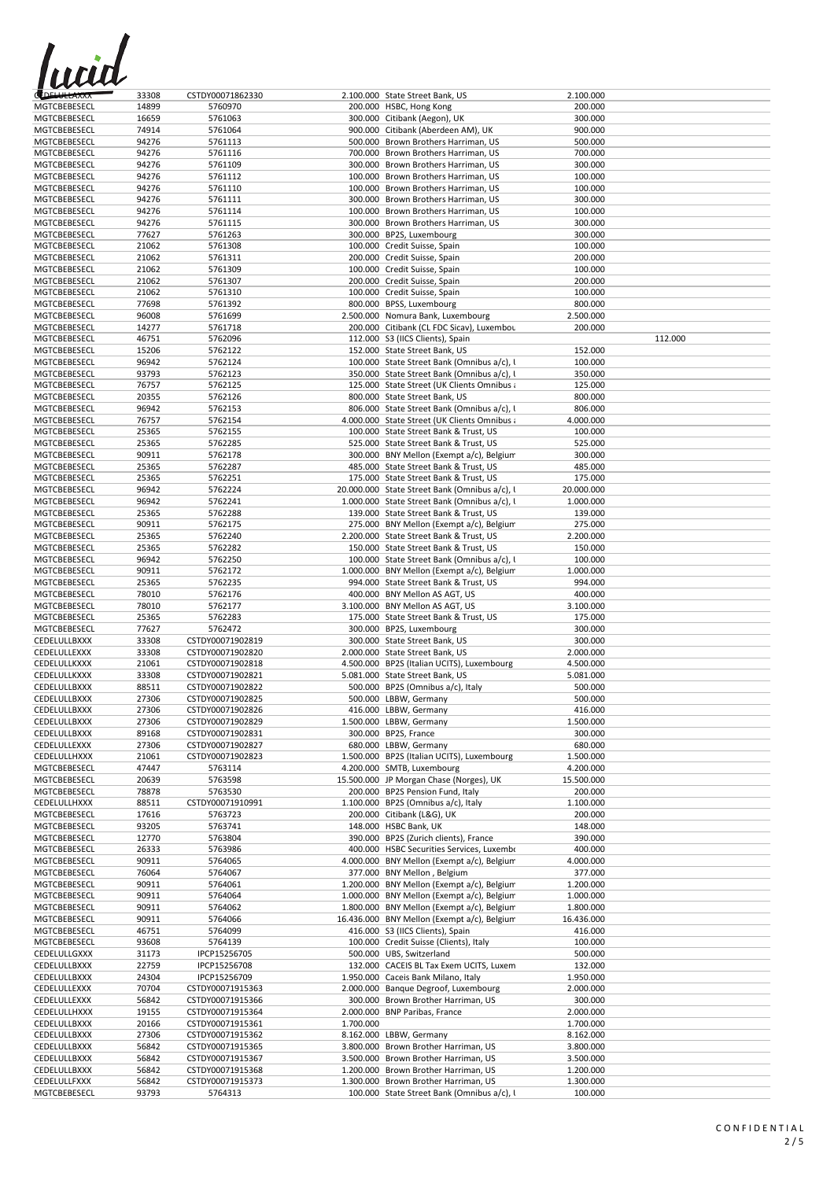

| <b>CEDELULLAXXX</b> | 33308 | CSTDY00071862330 |           | 2.100.000 State Street Bank, US               | 2.100.000  |         |
|---------------------|-------|------------------|-----------|-----------------------------------------------|------------|---------|
| MGTCBEBESECL        | 14899 | 5760970          |           | 200.000 HSBC, Hong Kong                       | 200.000    |         |
| MGTCBEBESECL        | 16659 | 5761063          |           | 300.000 Citibank (Aegon), UK                  | 300.000    |         |
| MGTCBEBESECL        | 74914 | 5761064          |           | 900.000 Citibank (Aberdeen AM), UK            | 900.000    |         |
| MGTCBEBESECL        | 94276 | 5761113          |           | 500.000 Brown Brothers Harriman, US           | 500.000    |         |
| MGTCBEBESECL        | 94276 | 5761116          |           | 700.000 Brown Brothers Harriman, US           | 700.000    |         |
| MGTCBEBESECL        | 94276 | 5761109          |           | 300.000 Brown Brothers Harriman, US           | 300.000    |         |
| MGTCBEBESECL        | 94276 | 5761112          |           | 100.000 Brown Brothers Harriman, US           | 100.000    |         |
| MGTCBEBESECL        | 94276 |                  |           |                                               | 100.000    |         |
|                     |       | 5761110          |           | 100.000 Brown Brothers Harriman, US           |            |         |
| MGTCBEBESECL        | 94276 | 5761111          |           | 300.000 Brown Brothers Harriman, US           | 300.000    |         |
| MGTCBEBESECL        | 94276 | 5761114          |           | 100.000 Brown Brothers Harriman, US           | 100.000    |         |
| MGTCBEBESECL        | 94276 | 5761115          |           | 300.000 Brown Brothers Harriman, US           | 300.000    |         |
| MGTCBEBESECL        | 77627 | 5761263          |           | 300.000 BP2S, Luxembourg                      | 300.000    |         |
| MGTCBEBESECL        | 21062 | 5761308          |           | 100.000 Credit Suisse, Spain                  | 100.000    |         |
| MGTCBEBESECL        | 21062 | 5761311          |           | 200.000 Credit Suisse, Spain                  | 200.000    |         |
| MGTCBEBESECL        | 21062 | 5761309          |           | 100.000 Credit Suisse, Spain                  | 100.000    |         |
| MGTCBEBESECL        | 21062 | 5761307          |           | 200.000 Credit Suisse, Spain                  | 200.000    |         |
| MGTCBEBESECL        | 21062 | 5761310          |           | 100.000 Credit Suisse, Spain                  | 100.000    |         |
| MGTCBEBESECL        | 77698 | 5761392          |           | 800.000 BPSS, Luxembourg                      | 800.000    |         |
| MGTCBEBESECL        | 96008 | 5761699          |           | 2.500.000 Nomura Bank, Luxembourg             | 2.500.000  |         |
| MGTCBEBESECL        | 14277 | 5761718          |           | 200.000 Citibank (CL FDC Sicav), Luxembou     | 200.000    |         |
| MGTCBEBESECL        | 46751 | 5762096          |           | 112.000 S3 (IICS Clients), Spain              |            | 112.000 |
|                     |       |                  |           | 152.000 State Street Bank, US                 |            |         |
| MGTCBEBESECL        | 15206 | 5762122          |           |                                               | 152.000    |         |
| MGTCBEBESECL        | 96942 | 5762124          |           | 100.000 State Street Bank (Omnibus a/c), l    | 100.000    |         |
| MGTCBEBESECL        | 93793 | 5762123          |           | 350.000 State Street Bank (Omnibus a/c), I    | 350.000    |         |
| MGTCBEBESECL        | 76757 | 5762125          |           | 125.000 State Street (UK Clients Omnibus a    | 125.000    |         |
| MGTCBEBESECL        | 20355 | 5762126          |           | 800.000 State Street Bank, US                 | 800.000    |         |
| MGTCBEBESECL        | 96942 | 5762153          |           | 806.000 State Street Bank (Omnibus a/c), I    | 806.000    |         |
| MGTCBEBESECL        | 76757 | 5762154          |           | 4.000.000 State Street (UK Clients Omnibus a  | 4.000.000  |         |
| MGTCBEBESECL        | 25365 | 5762155          |           | 100.000 State Street Bank & Trust, US         | 100.000    |         |
| MGTCBEBESECL        | 25365 | 5762285          |           | 525.000 State Street Bank & Trust, US         | 525.000    |         |
| MGTCBEBESECL        | 90911 | 5762178          |           | 300.000 BNY Mellon (Exempt a/c), Belgium      | 300.000    |         |
|                     |       | 5762287          |           | 485.000 State Street Bank & Trust, US         | 485.000    |         |
| MGTCBEBESECL        | 25365 |                  |           |                                               |            |         |
| MGTCBEBESECL        | 25365 | 5762251          |           | 175.000 State Street Bank & Trust, US         | 175.000    |         |
| MGTCBEBESECL        | 96942 | 5762224          |           | 20.000.000 State Street Bank (Omnibus a/c), l | 20.000.000 |         |
| MGTCBEBESECL        | 96942 | 5762241          |           | 1.000.000 State Street Bank (Omnibus a/c), l  | 1.000.000  |         |
| MGTCBEBESECL        | 25365 | 5762288          |           | 139.000 State Street Bank & Trust, US         | 139.000    |         |
| MGTCBEBESECL        | 90911 | 5762175          |           | 275.000 BNY Mellon (Exempt a/c), Belgium      | 275.000    |         |
| MGTCBEBESECL        | 25365 | 5762240          |           | 2.200.000 State Street Bank & Trust, US       | 2.200.000  |         |
| MGTCBEBESECL        | 25365 | 5762282          |           | 150.000 State Street Bank & Trust, US         | 150.000    |         |
| MGTCBEBESECL        | 96942 | 5762250          |           | 100.000 State Street Bank (Omnibus a/c), I    | 100.000    |         |
|                     |       |                  |           |                                               |            |         |
| MGTCBEBESECL        | 90911 | 5762172          |           | 1.000.000 BNY Mellon (Exempt a/c), Belgium    | 1.000.000  |         |
| MGTCBEBESECL        | 25365 | 5762235          |           | 994.000 State Street Bank & Trust, US         | 994.000    |         |
| MGTCBEBESECL        | 78010 | 5762176          |           | 400.000 BNY Mellon AS AGT, US                 | 400.000    |         |
| MGTCBEBESECL        | 78010 | 5762177          |           | 3.100.000 BNY Mellon AS AGT, US               | 3.100.000  |         |
| MGTCBEBESECL        | 25365 | 5762283          |           | 175.000 State Street Bank & Trust, US         | 175.000    |         |
| MGTCBEBESECL        | 77627 | 5762472          |           | 300.000 BP2S, Luxembourg                      | 300.000    |         |
| CEDELULLBXXX        | 33308 | CSTDY00071902819 |           | 300.000 State Street Bank, US                 | 300.000    |         |
| CEDELULLEXXX        | 33308 | CSTDY00071902820 |           | 2.000.000 State Street Bank, US               | 2.000.000  |         |
| CEDELULLKXXX        | 21061 | CSTDY00071902818 |           | 4.500.000 BP2S (Italian UCITS), Luxembourg    | 4.500.000  |         |
| CEDELULLKXXX        | 33308 |                  |           | 5.081.000 State Street Bank, US               | 5.081.000  |         |
|                     |       | CSTDY00071902821 |           |                                               |            |         |
| CEDELULLBXXX        | 88511 | CSTDY00071902822 |           | 500.000 BP2S (Omnibus a/c), Italy             | 500.000    |         |
| CEDELULLBXXX        | 27306 | CSTDY00071902825 |           | 500.000 LBBW, Germany                         | 500.000    |         |
| CEDELULLBXXX        | 27306 | CSTDY00071902826 |           | 416.000 LBBW, Germany                         | 416.000    |         |
| CEDELULLBXXX        | 27306 | CSTDY00071902829 |           | 1.500.000 LBBW, Germany                       | 1.500.000  |         |
| CEDELULLBXXX        | 89168 | CSTDY00071902831 |           | 300.000 BP2S, France                          | 300.000    |         |
| CEDELULLEXXX        | 27306 | CSTDY00071902827 |           | 680.000 LBBW, Germany                         | 680.000    |         |
| CEDELULLHXXX        | 21061 | CSTDY00071902823 |           | 1.500.000 BP2S (Italian UCITS), Luxembourg    | 1.500.000  |         |
| MGTCBEBESECL        | 47447 | 5763114          |           | 4.200.000 SMTB, Luxembourg                    | 4.200.000  |         |
| MGTCBEBESECL        | 20639 | 5763598          |           | 15.500.000 JP Morgan Chase (Norges), UK       | 15.500.000 |         |
| MGTCBEBESECL        | 78878 | 5763530          |           | 200.000 BP2S Pension Fund, Italy              | 200.000    |         |
| CEDELULLHXXX        | 88511 | CSTDY00071910991 |           | 1.100.000 BP2S (Omnibus a/c), Italy           | 1.100.000  |         |
|                     |       | 5763723          |           |                                               |            |         |
| MGTCBEBESECL        | 17616 |                  |           | 200.000 Citibank (L&G), UK                    | 200.000    |         |
| MGTCBEBESECL        | 93205 | 5763741          |           | 148.000 HSBC Bank, UK                         | 148.000    |         |
| MGTCBEBESECL        | 12770 | 5763804          |           | 390.000 BP2S (Zurich clients), France         | 390.000    |         |
| MGTCBEBESECL        | 26333 | 5763986          |           | 400.000 HSBC Securities Services, Luxembo     | 400.000    |         |
| MGTCBEBESECL        | 90911 | 5764065          |           | 4.000.000 BNY Mellon (Exempt a/c), Belgium    | 4.000.000  |         |
| MGTCBEBESECL        | 76064 | 5764067          |           | 377.000 BNY Mellon, Belgium                   | 377.000    |         |
| MGTCBEBESECL        | 90911 | 5764061          |           | 1.200.000 BNY Mellon (Exempt a/c), Belgium    | 1.200.000  |         |
| MGTCBEBESECL        | 90911 | 5764064          |           | 1.000.000 BNY Mellon (Exempt a/c), Belgium    | 1.000.000  |         |
| MGTCBEBESECL        | 90911 | 5764062          |           | 1.800.000 BNY Mellon (Exempt a/c), Belgium    | 1.800.000  |         |
| MGTCBEBESECL        | 90911 | 5764066          |           | 16.436.000 BNY Mellon (Exempt a/c), Belgium   | 16.436.000 |         |
|                     | 46751 | 5764099          |           |                                               |            |         |
| MGTCBEBESECL        |       |                  |           | 416.000 S3 (IICS Clients), Spain              | 416.000    |         |
| MGTCBEBESECL        | 93608 | 5764139          |           | 100.000 Credit Suisse (Clients), Italy        | 100.000    |         |
| CEDELULLGXXX        | 31173 | IPCP15256705     |           | 500.000 UBS, Switzerland                      | 500.000    |         |
| CEDELULLBXXX        | 22759 | IPCP15256708     |           | 132.000 CACEIS BL Tax Exem UCITS, Luxem       | 132.000    |         |
| CEDELULLBXXX        | 24304 | IPCP15256709     |           | 1.950.000 Caceis Bank Milano, Italy           | 1.950.000  |         |
| CEDELULLEXXX        | 70704 | CSTDY00071915363 |           | 2.000.000 Banque Degroof, Luxembourg          | 2.000.000  |         |
| CEDELULLEXXX        | 56842 | CSTDY00071915366 |           | 300.000 Brown Brother Harriman, US            | 300.000    |         |
| CEDELULLHXXX        | 19155 | CSTDY00071915364 |           | 2.000.000 BNP Paribas, France                 | 2.000.000  |         |
| CEDELULLBXXX        | 20166 | CSTDY00071915361 | 1.700.000 |                                               | 1.700.000  |         |
|                     |       |                  |           |                                               |            |         |
| CEDELULLBXXX        | 27306 | CSTDY00071915362 |           | 8.162.000 LBBW, Germany                       | 8.162.000  |         |
| CEDELULLBXXX        | 56842 | CSTDY00071915365 |           | 3.800.000 Brown Brother Harriman, US          | 3.800.000  |         |
| CEDELULLBXXX        | 56842 | CSTDY00071915367 |           | 3.500.000 Brown Brother Harriman, US          | 3.500.000  |         |
| CEDELULLBXXX        | 56842 | CSTDY00071915368 |           | 1.200.000 Brown Brother Harriman, US          | 1.200.000  |         |
| CEDELULLFXXX        | 56842 | CSTDY00071915373 |           | 1.300.000 Brown Brother Harriman, US          | 1.300.000  |         |
| MGTCBEBESECL        | 93793 | 5764313          |           | 100.000 State Street Bank (Omnibus a/c), I    | 100.000    |         |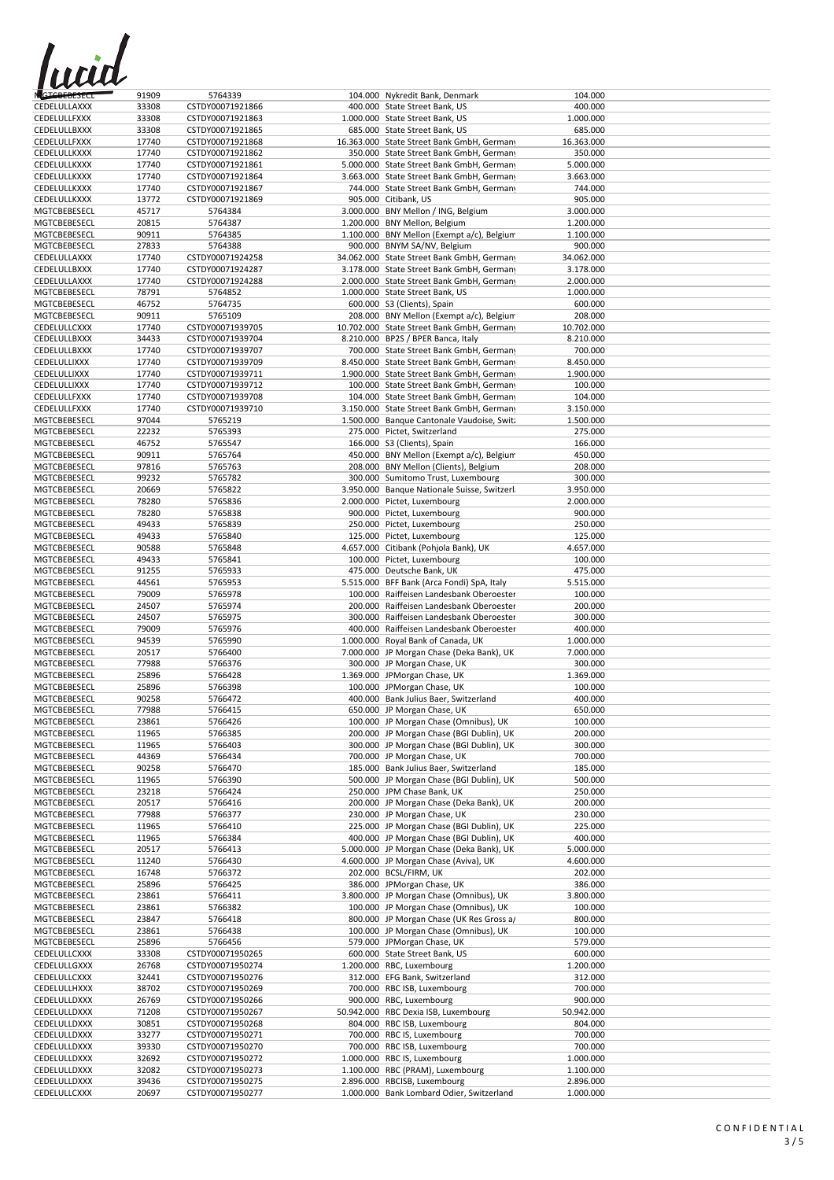

| GTCBEBESECL                  | 91909          | 5764339          | 104.000 Nykredit Bank, Denmark                                                   | 104.000    |  |
|------------------------------|----------------|------------------|----------------------------------------------------------------------------------|------------|--|
| CEDELULLAXXX                 | 33308          | CSTDY00071921866 | 400.000 State Street Bank, US                                                    | 400.000    |  |
| <b>CEDELULLFXXX</b>          | 33308          | CSTDY00071921863 | 1.000.000 State Street Bank, US                                                  | 1.000.000  |  |
| CEDELULLBXXX                 | 33308          | CSTDY00071921865 | 685.000 State Street Bank, US                                                    | 685.000    |  |
| CEDELULLFXXX                 | 17740          | CSTDY00071921868 | 16.363.000 State Street Bank GmbH, Germany                                       | 16.363.000 |  |
| CEDELULLKXXX                 | 17740          | CSTDY00071921862 | 350.000 State Street Bank GmbH, Germany                                          | 350.000    |  |
| CEDELULLKXXX                 | 17740          | CSTDY00071921861 | 5.000.000 State Street Bank GmbH, Germany                                        | 5.000.000  |  |
|                              |                |                  |                                                                                  |            |  |
| CEDELULLKXXX                 | 17740          | CSTDY00071921864 | 3.663.000 State Street Bank GmbH, Germany                                        | 3.663.000  |  |
| CEDELULLKXXX                 | 17740          | CSTDY00071921867 | 744.000 State Street Bank GmbH, Germany                                          | 744.000    |  |
| CEDELULLKXXX                 | 13772          | CSTDY00071921869 | 905.000 Citibank, US                                                             | 905.000    |  |
| MGTCBEBESECL                 | 45717          | 5764384          | 3.000.000 BNY Mellon / ING, Belgium                                              | 3.000.000  |  |
| MGTCBEBESECL                 | 20815          | 5764387          | 1.200.000 BNY Mellon, Belgium                                                    | 1.200.000  |  |
| MGTCBEBESECL                 | 90911          | 5764385          | 1.100.000 BNY Mellon (Exempt a/c), Belgium                                       | 1.100.000  |  |
| MGTCBEBESECL                 | 27833          | 5764388          | 900.000 BNYM SA/NV, Belgium                                                      | 900.000    |  |
| CEDELULLAXXX                 | 17740          | CSTDY00071924258 | 34.062.000 State Street Bank GmbH, Germany                                       | 34.062.000 |  |
| CEDELULLBXXX                 | 17740          | CSTDY00071924287 | 3.178.000 State Street Bank GmbH, Germany                                        | 3.178.000  |  |
| CEDELULLAXXX                 | 17740          | CSTDY00071924288 | 2.000.000 State Street Bank GmbH, Germany                                        | 2.000.000  |  |
| MGTCBEBESECL                 | 78791          | 5764852          | 1.000.000 State Street Bank, US                                                  | 1.000.000  |  |
| MGTCBEBESECL                 | 46752          | 5764735          | 600.000 S3 (Clients), Spain                                                      | 600.000    |  |
| MGTCBEBESECL                 | 90911          | 5765109          | 208.000 BNY Mellon (Exempt a/c), Belgium                                         | 208.000    |  |
| CEDELULLCXXX                 | 17740          | CSTDY00071939705 | 10.702.000 State Street Bank GmbH, Germany                                       | 10.702.000 |  |
| CEDELULLBXXX                 | 34433          | CSTDY00071939704 | 8.210.000 BP2S / BPER Banca, Italy                                               | 8.210.000  |  |
|                              |                |                  |                                                                                  |            |  |
| CEDELULLBXXX                 | 17740          | CSTDY00071939707 | 700.000 State Street Bank GmbH, Germany                                          | 700.000    |  |
| CEDELULLIXXX                 | 17740          | CSTDY00071939709 | 8.450.000 State Street Bank GmbH, Germany                                        | 8.450.000  |  |
| CEDELULLIXXX                 | 17740          | CSTDY00071939711 | 1.900.000 State Street Bank GmbH, Germany                                        | 1.900.000  |  |
| CEDELULLIXXX                 | 17740          | CSTDY00071939712 | 100.000 State Street Bank GmbH, Germany                                          | 100.000    |  |
| <b>CEDELULLFXXX</b>          | 17740          | CSTDY00071939708 | 104.000 State Street Bank GmbH, Germany                                          | 104.000    |  |
| <b>CEDELULLFXXX</b>          | 17740          | CSTDY00071939710 | 3.150.000 State Street Bank GmbH, Germany                                        | 3.150.000  |  |
| MGTCBEBESECL                 | 97044          | 5765219          | 1.500.000 Banque Cantonale Vaudoise, Swit:                                       | 1.500.000  |  |
| MGTCBEBESECL                 | 22232          | 5765393          | 275.000 Pictet, Switzerland                                                      | 275.000    |  |
| MGTCBEBESECL                 | 46752          | 5765547          | 166.000 S3 (Clients), Spain                                                      | 166.000    |  |
| MGTCBEBESECL                 | 90911          | 5765764          | 450.000 BNY Mellon (Exempt a/c), Belgium                                         | 450.000    |  |
| MGTCBEBESECL                 | 97816          | 5765763          | 208.000 BNY Mellon (Clients), Belgium                                            | 208.000    |  |
| MGTCBEBESECL                 | 99232          | 5765782          | 300.000 Sumitomo Trust, Luxembourg                                               | 300.000    |  |
| MGTCBEBESECL                 | 20669          | 5765822          | 3.950.000 Banque Nationale Suisse, Switzerl                                      | 3.950.000  |  |
| MGTCBEBESECL                 | 78280          | 5765836          | 2.000.000 Pictet, Luxembourg                                                     | 2.000.000  |  |
| MGTCBEBESECL                 |                |                  | 900.000 Pictet, Luxembourg                                                       |            |  |
|                              | 78280          | 5765838          |                                                                                  | 900.000    |  |
| MGTCBEBESECL                 | 49433          | 5765839          | 250.000 Pictet, Luxembourg                                                       | 250.000    |  |
| MGTCBEBESECL                 | 49433          | 5765840          | 125.000 Pictet, Luxembourg                                                       | 125.000    |  |
| <b>MGTCBEBESECL</b>          | 90588          | 5765848          | 4.657.000 Citibank (Pohjola Bank), UK                                            | 4.657.000  |  |
| MGTCBEBESECL                 | 49433          | 5765841          | 100.000 Pictet, Luxembourg                                                       | 100.000    |  |
| MGTCBEBESECL                 | 91255          | 5765933          | 475.000 Deutsche Bank, UK                                                        | 475.000    |  |
| <b>MGTCBEBESECL</b>          | 44561          | 5765953          | 5.515.000 BFF Bank (Arca Fondi) SpA, Italy                                       | 5.515.000  |  |
| MGTCBEBESECL                 | 79009          | 5765978          | 100.000 Raiffeisen Landesbank Oberoester                                         | 100.000    |  |
| MGTCBEBESECL                 | 24507          | 5765974          | 200.000 Raiffeisen Landesbank Oberoester                                         | 200.000    |  |
| MGTCBEBESECL                 | 24507          | 5765975          | 300.000 Raiffeisen Landesbank Oberoester                                         | 300.000    |  |
| MGTCBEBESECL                 | 79009          | 5765976          | 400.000 Raiffeisen Landesbank Oberoester                                         | 400.000    |  |
| MGTCBEBESECL                 | 94539          | 5765990          | 1.000.000 Royal Bank of Canada, UK                                               | 1.000.000  |  |
| MGTCBEBESECL                 | 20517          | 5766400          | 7.000.000 JP Morgan Chase (Deka Bank), UK                                        | 7.000.000  |  |
| MGTCBEBESECL                 | 77988          | 5766376          | 300.000 JP Morgan Chase, UK                                                      | 300.000    |  |
| MGTCBEBESECL                 | 25896          | 5766428          | 1.369.000 JPMorgan Chase, UK                                                     | 1.369.000  |  |
| MGTCBEBESECL                 | 25896          | 5766398          | 100.000 JPMorgan Chase, UK                                                       | 100.000    |  |
| MGTCBEBESECL                 | 90258          | 5766472          | 400.000 Bank Julius Baer, Switzerland                                            | 400.000    |  |
|                              |                |                  |                                                                                  |            |  |
| MGTCBEBESECL                 | 77988          | 5766415          | 650.000 JP Morgan Chase, UK                                                      | 650.000    |  |
| MGTCBEBESECL                 | 23861          | 5766426          | 100.000 JP Morgan Chase (Omnibus), UK                                            | 100.000    |  |
| MGTCBEBESECL                 | 11965          | 5766385          | 200.000 JP Morgan Chase (BGI Dublin), UK                                         | 200.000    |  |
| MGTCBEBESECL                 | 11965          | 5766403          | 300.000 JP Morgan Chase (BGI Dublin), UK                                         | 300.000    |  |
| MGTCBEBESECL                 | 44369          | 5766434          | 700.000 JP Morgan Chase, UK                                                      | 700.000    |  |
| MGTCBEBESECL                 | 90258          | 5766470          | 185.000 Bank Julius Baer, Switzerland                                            | 185.000    |  |
| MGTCBEBESECL                 | 11965          | 5766390          | 500.000 JP Morgan Chase (BGI Dublin), UK                                         | 500.000    |  |
| MGTCBEBESECL                 | 23218          | 5766424          | 250.000 JPM Chase Bank, UK                                                       | 250.000    |  |
| MGTCBEBESECL                 | 20517          | 5766416          | 200.000 JP Morgan Chase (Deka Bank), UK                                          | 200.000    |  |
| MGTCBEBESECL                 | 77988          | 5766377          | 230.000 JP Morgan Chase, UK                                                      | 230.000    |  |
| MGTCBEBESECL                 | 11965          | 5766410          | 225.000 JP Morgan Chase (BGI Dublin), UK                                         | 225.000    |  |
| MGTCBEBESECL                 | 11965          | 5766384          | 400.000 JP Morgan Chase (BGI Dublin), UK                                         | 400.000    |  |
| MGTCBEBESECL                 | 20517          | 5766413          | 5.000.000 JP Morgan Chase (Deka Bank), UK                                        | 5.000.000  |  |
| MGTCBEBESECL                 | 11240          | 5766430          | 4.600.000 JP Morgan Chase (Aviva), UK                                            | 4.600.000  |  |
| MGTCBEBESECL                 | 16748          | 5766372          | 202.000 BCSL/FIRM, UK                                                            | 202.000    |  |
| MGTCBEBESECL                 | 25896          | 5766425          | 386.000 JPMorgan Chase, UK                                                       | 386.000    |  |
|                              |                |                  |                                                                                  |            |  |
| MGTCBEBESECL                 | 23861          | 5766411          | 3.800.000 JP Morgan Chase (Omnibus), UK<br>100.000 JP Morgan Chase (Omnibus), UK | 3.800.000  |  |
| MGTCBEBESECL<br>MGTCBEBESECL | 23861<br>23847 | 5766382          |                                                                                  | 100.000    |  |
|                              |                | 5766418          | 800.000 JP Morgan Chase (UK Res Gross a/                                         | 800.000    |  |
| MGTCBEBESECL                 | 23861          | 5766438          | 100.000 JP Morgan Chase (Omnibus), UK                                            | 100.000    |  |
| MGTCBEBESECL                 | 25896          | 5766456          | 579.000 JPMorgan Chase, UK                                                       | 579.000    |  |
| CEDELULLCXXX                 | 33308          | CSTDY00071950265 | 600.000 State Street Bank, US                                                    | 600.000    |  |
| CEDELULLGXXX                 | 26768          | CSTDY00071950274 | 1.200.000 RBC, Luxembourg                                                        | 1.200.000  |  |
| CEDELULLCXXX                 | 32441          | CSTDY00071950276 | 312.000 EFG Bank, Switzerland                                                    | 312.000    |  |
| CEDELULLHXXX                 | 38702          | CSTDY00071950269 | 700.000 RBC ISB, Luxembourg                                                      | 700.000    |  |
| CEDELULLDXXX                 | 26769          | CSTDY00071950266 | 900.000 RBC, Luxembourg                                                          | 900.000    |  |
| CEDELULLDXXX                 | 71208          | CSTDY00071950267 | 50.942.000 RBC Dexia ISB, Luxembourg                                             | 50.942.000 |  |
| CEDELULLDXXX                 | 30851          | CSTDY00071950268 | 804.000 RBC ISB, Luxembourg                                                      | 804.000    |  |
| CEDELULLDXXX                 | 33277          | CSTDY00071950271 | 700.000 RBC IS, Luxembourg                                                       | 700.000    |  |
| CEDELULLDXXX                 | 39330          | CSTDY00071950270 | 700.000 RBC ISB, Luxembourg                                                      | 700.000    |  |
| CEDELULLDXXX                 | 32692          | CSTDY00071950272 | 1.000.000 RBC IS, Luxembourg                                                     | 1.000.000  |  |
| CEDELULLDXXX                 | 32082          | CSTDY00071950273 | 1.100.000 RBC (PRAM), Luxembourg                                                 | 1.100.000  |  |
| CEDELULLDXXX                 | 39436          | CSTDY00071950275 | 2.896.000 RBCISB, Luxembourg                                                     | 2.896.000  |  |
| CEDELULLCXXX                 | 20697          | CSTDY00071950277 | 1.000.000 Bank Lombard Odier, Switzerland                                        | 1.000.000  |  |
|                              |                |                  |                                                                                  |            |  |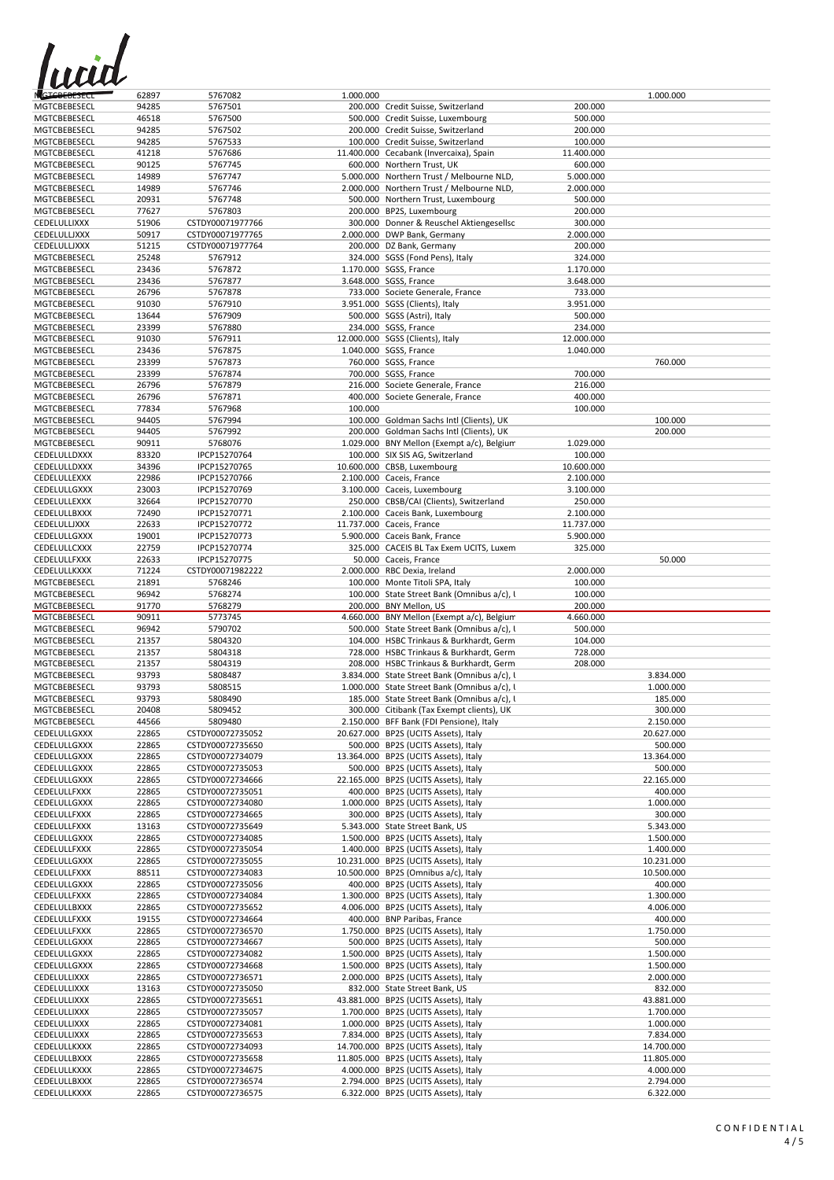

| <b>NGTCBEBESECL</b>          | 62897          | 5767082                              | 1.000.000 |                                                                                |                    | 1.000.000                |
|------------------------------|----------------|--------------------------------------|-----------|--------------------------------------------------------------------------------|--------------------|--------------------------|
| <b>MGTCBEBESECL</b>          | 94285          | 5767501                              |           | 200.000 Credit Suisse, Switzerland                                             | 200.000            |                          |
| MGTCBEBESECL                 | 46518          | 5767500                              |           | 500.000 Credit Suisse, Luxembourg                                              | 500.000            |                          |
| MGTCBEBESECL                 | 94285          | 5767502                              |           | 200.000 Credit Suisse, Switzerland                                             | 200.000            |                          |
| MGTCBEBESECL                 | 94285          | 5767533                              |           | 100.000 Credit Suisse, Switzerland                                             | 100.000            |                          |
| MGTCBEBESECL                 | 41218          | 5767686                              |           | 11.400.000 Cecabank (Invercaixa), Spain                                        | 11.400.000         |                          |
| MGTCBEBESECL                 | 90125          | 5767745                              |           | 600.000 Northern Trust, UK                                                     | 600.000            |                          |
| MGTCBEBESECL                 | 14989          | 5767747                              |           | 5.000.000 Northern Trust / Melbourne NLD,                                      | 5.000.000          |                          |
| MGTCBEBESECL                 | 14989          | 5767746                              |           | 2.000.000 Northern Trust / Melbourne NLD,                                      | 2.000.000          |                          |
| MGTCBEBESECL                 | 20931          | 5767748                              |           | 500.000 Northern Trust, Luxembourg                                             | 500.000            |                          |
| MGTCBEBESECL                 | 77627          | 5767803                              |           | 200.000 BP2S, Luxembourg                                                       | 200.000            |                          |
| CEDELULLIXXX                 | 51906          | CSTDY00071977766                     |           | 300.000 Donner & Reuschel Aktiengesellsc                                       | 300.000            |                          |
| CEDELULLJXXX                 | 50917          | CSTDY00071977765                     |           | 2.000.000 DWP Bank, Germany                                                    | 2.000.000          |                          |
| CEDELULLJXXX                 | 51215          | CSTDY00071977764                     |           | 200.000 DZ Bank, Germany                                                       | 200.000            |                          |
| MGTCBEBESECL                 | 25248          | 5767912                              |           | 324.000 SGSS (Fond Pens), Italy                                                | 324.000            |                          |
| MGTCBEBESECL                 | 23436          | 5767872                              |           | 1.170.000 SGSS, France                                                         | 1.170.000          |                          |
| MGTCBEBESECL                 | 23436          | 5767877                              |           | 3.648.000 SGSS, France                                                         | 3.648.000          |                          |
| MGTCBEBESECL                 | 26796          | 5767878                              |           | 733.000 Societe Generale, France                                               | 733.000            |                          |
| MGTCBEBESECL                 | 91030          | 5767910                              |           | 3.951.000 SGSS (Clients), Italy                                                | 3.951.000          |                          |
| MGTCBEBESECL<br>MGTCBEBESECL | 13644<br>23399 | 5767909<br>5767880                   |           | 500.000 SGSS (Astri), Italy<br>234.000 SGSS, France                            | 500.000<br>234.000 |                          |
| MGTCBEBESECL                 | 91030          | 5767911                              |           | 12.000.000 SGSS (Clients), Italy                                               | 12.000.000         |                          |
| MGTCBEBESECL                 | 23436          | 5767875                              |           | 1.040.000 SGSS, France                                                         | 1.040.000          |                          |
| MGTCBEBESECL                 | 23399          | 5767873                              |           | 760.000 SGSS, France                                                           |                    | 760.000                  |
| MGTCBEBESECL                 | 23399          | 5767874                              |           | 700.000 SGSS, France                                                           | 700.000            |                          |
| MGTCBEBESECL                 | 26796          | 5767879                              |           | 216.000 Societe Generale, France                                               | 216.000            |                          |
| MGTCBEBESECL                 | 26796          | 5767871                              |           | 400.000 Societe Generale, France                                               | 400.000            |                          |
| MGTCBEBESECL                 | 77834          | 5767968                              | 100.000   |                                                                                | 100.000            |                          |
| MGTCBEBESECL                 | 94405          | 5767994                              |           | 100.000 Goldman Sachs Intl (Clients), UK                                       |                    | 100.000                  |
| MGTCBEBESECL                 | 94405          | 5767992                              |           | 200.000 Goldman Sachs Intl (Clients), UK                                       |                    | 200.000                  |
| MGTCBEBESECL                 | 90911          | 5768076                              |           | 1.029.000 BNY Mellon (Exempt a/c), Belgium                                     | 1.029.000          |                          |
| CEDELULLDXXX                 | 83320          | IPCP15270764                         |           | 100.000 SIX SIS AG, Switzerland                                                | 100.000            |                          |
| CEDELULLDXXX                 | 34396          | IPCP15270765                         |           | 10.600.000 CBSB, Luxembourg                                                    | 10.600.000         |                          |
| CEDELULLEXXX                 | 22986          | IPCP15270766                         |           | 2.100.000 Caceis, France                                                       | 2.100.000          |                          |
| CEDELULLGXXX                 | 23003          | IPCP15270769                         |           | 3.100.000 Caceis, Luxembourg                                                   | 3.100.000          |                          |
| CEDELULLEXXX                 | 32664          | IPCP15270770                         |           | 250.000 CBSB/CAI (Clients), Switzerland                                        | 250.000            |                          |
| CEDELULLBXXX                 | 72490          | IPCP15270771                         |           | 2.100.000 Caceis Bank, Luxembourg                                              | 2.100.000          |                          |
| CEDELULLJXXX                 | 22633          | IPCP15270772                         |           | 11.737.000 Caceis, France                                                      | 11.737.000         |                          |
| CEDELULLGXXX                 | 19001          | IPCP15270773                         |           | 5.900.000 Caceis Bank, France                                                  | 5.900.000          |                          |
| CEDELULLCXXX                 | 22759          | IPCP15270774                         |           | 325.000 CACEIS BL Tax Exem UCITS, Luxem                                        | 325.000            |                          |
| CEDELULLFXXX                 | 22633          | IPCP15270775                         |           | 50.000 Caceis, France                                                          |                    | 50.000                   |
| CEDELULLKXXX                 | 71224          | CSTDY00071982222                     |           | 2.000.000 RBC Dexia, Ireland                                                   | 2.000.000          |                          |
| MGTCBEBESECL<br>MGTCBEBESECL | 21891          | 5768246                              |           | 100.000 Monte Titoli SPA, Italy                                                | 100.000            |                          |
| MGTCBEBESECL                 | 96942<br>91770 | 5768274<br>5768279                   |           | 100.000 State Street Bank (Omnibus a/c), l<br>200.000 BNY Mellon, US           | 100.000<br>200.000 |                          |
| MGTCBEBESECL                 | 90911          | 5773745                              |           | 4.660.000 BNY Mellon (Exempt a/c), Belgium                                     | 4.660.000          |                          |
| MGTCBEBESECL                 | 96942          | 5790702                              |           | 500.000 State Street Bank (Omnibus a/c), I                                     | 500.000            |                          |
| MGTCBEBESECL                 | 21357          | 5804320                              |           | 104.000 HSBC Trinkaus & Burkhardt, Germ                                        | 104.000            |                          |
| MGTCBEBESECL                 | 21357          | 5804318                              |           | 728.000 HSBC Trinkaus & Burkhardt, Germ                                        | 728.000            |                          |
| MGTCBEBESECL                 | 21357          | 5804319                              |           | 208.000 HSBC Trinkaus & Burkhardt, Germ                                        | 208.000            |                          |
| MGTCBEBESECL                 | 93793          | 5808487                              |           | 3.834.000 State Street Bank (Omnibus a/c), l                                   |                    | 3.834.000                |
| MGTCBEBESECL                 | 93793          | 5808515                              |           | 1.000.000 State Street Bank (Omnibus a/c), l                                   |                    | 1.000.000                |
| MGTCBEBESECL                 | 93793          | 5808490                              |           | 185.000 State Street Bank (Omnibus a/c), l                                     |                    | 185.000                  |
| MGTCBEBESECL                 | 20408          | 5809452                              |           | 300.000 Citibank (Tax Exempt clients), UK                                      |                    | 300.000                  |
| MGTCBEBESECL                 | 44566          | 5809480                              |           | 2.150.000 BFF Bank (FDI Pensione), Italy                                       |                    | 2.150.000                |
| CEDELULLGXXX                 | 22865          | CSTDY00072735052                     |           | 20.627.000 BP2S (UCITS Assets), Italy                                          |                    | 20.627.000               |
| CEDELULLGXXX                 | 22865          | CSTDY00072735650                     |           | 500.000 BP2S (UCITS Assets), Italy                                             |                    | 500.000                  |
| CEDELULLGXXX                 | 22865          | CSTDY00072734079                     |           | 13.364.000 BP2S (UCITS Assets), Italy                                          |                    | 13.364.000               |
| CEDELULLGXXX                 | 22865          | CSTDY00072735053                     |           | 500.000 BP2S (UCITS Assets), Italy                                             |                    | 500.000                  |
| CEDELULLGXXX                 | 22865          | CSTDY00072734666                     |           | 22.165.000 BP2S (UCITS Assets), Italy                                          |                    | 22.165.000               |
| CEDELULLFXXX                 | 22865          | CSTDY00072735051                     |           | 400.000 BP2S (UCITS Assets), Italy                                             |                    | 400.000<br>1.000.000     |
| CEDELULLGXXX<br>CEDELULLFXXX | 22865<br>22865 | CSTDY00072734080<br>CSTDY00072734665 |           | 1.000.000 BP2S (UCITS Assets), Italy<br>300.000 BP2S (UCITS Assets), Italy     |                    | 300.000                  |
| CEDELULLFXXX                 | 13163          | CSTDY00072735649                     |           | 5.343.000 State Street Bank, US                                                |                    | 5.343.000                |
| CEDELULLGXXX                 | 22865          | CSTDY00072734085                     |           | 1.500.000 BP2S (UCITS Assets), Italy                                           |                    | 1.500.000                |
| CEDELULLFXXX                 | 22865          | CSTDY00072735054                     |           | 1.400.000 BP2S (UCITS Assets), Italy                                           |                    | 1.400.000                |
| CEDELULLGXXX                 | 22865          | CSTDY00072735055                     |           | 10.231.000 BP2S (UCITS Assets), Italy                                          |                    | 10.231.000               |
| CEDELULLFXXX                 | 88511          | CSTDY00072734083                     |           | 10.500.000 BP2S (Omnibus a/c), Italy                                           |                    | 10.500.000               |
| CEDELULLGXXX                 | 22865          | CSTDY00072735056                     |           | 400.000 BP2S (UCITS Assets), Italy                                             |                    | 400.000                  |
| CEDELULLFXXX                 | 22865          | CSTDY00072734084                     |           | 1.300.000 BP2S (UCITS Assets), Italy                                           |                    | 1.300.000                |
| CEDELULLBXXX                 | 22865          | CSTDY00072735652                     |           | 4.006.000 BP2S (UCITS Assets), Italy                                           |                    | 4.006.000                |
| CEDELULLFXXX                 | 19155          | CSTDY00072734664                     |           | 400.000 BNP Paribas, France                                                    |                    | 400.000                  |
| CEDELULLFXXX                 | 22865          | CSTDY00072736570                     |           | 1.750.000 BP2S (UCITS Assets), Italy                                           |                    | 1.750.000                |
| CEDELULLGXXX                 | 22865          | CSTDY00072734667                     |           | 500.000 BP2S (UCITS Assets), Italy                                             |                    | 500.000                  |
| CEDELULLGXXX                 | 22865          | CSTDY00072734082                     |           | 1.500.000 BP2S (UCITS Assets), Italy                                           |                    | 1.500.000                |
| CEDELULLGXXX                 | 22865          | CSTDY00072734668                     |           | 1.500.000 BP2S (UCITS Assets), Italy                                           |                    | 1.500.000                |
| CEDELULLIXXX                 | 22865          | CSTDY00072736571                     |           | 2.000.000 BP2S (UCITS Assets), Italy                                           |                    | 2.000.000                |
| CEDELULLIXXX                 | 13163          | CSTDY00072735050                     |           | 832.000 State Street Bank, US                                                  |                    | 832.000                  |
| CEDELULLIXXX                 | 22865          | CSTDY00072735651                     |           | 43.881.000 BP2S (UCITS Assets), Italy                                          |                    | 43.881.000               |
| CEDELULLIXXX                 | 22865          | CSTDY00072735057                     |           | 1.700.000 BP2S (UCITS Assets), Italy                                           |                    | 1.700.000                |
| CEDELULLIXXX                 | 22865          | CSTDY00072734081                     |           | 1.000.000 BP2S (UCITS Assets), Italy                                           |                    | 1.000.000                |
| CEDELULLIXXX                 | 22865          | CSTDY00072735653                     |           | 7.834.000 BP2S (UCITS Assets), Italy                                           |                    | 7.834.000                |
| CEDELULLKXXX<br>CEDELULLBXXX | 22865<br>22865 | CSTDY00072734093<br>CSTDY00072735658 |           | 14.700.000 BP2S (UCITS Assets), Italy<br>11.805.000 BP2S (UCITS Assets), Italy |                    | 14.700.000<br>11.805.000 |
| CEDELULLKXXX                 | 22865          | CSTDY00072734675                     |           | 4.000.000 BP2S (UCITS Assets), Italy                                           |                    | 4.000.000                |
| CEDELULLBXXX                 | 22865          | CSTDY00072736574                     |           | 2.794.000 BP2S (UCITS Assets), Italy                                           |                    | 2.794.000                |
| CEDELULLKXXX                 | 22865          | CSTDY00072736575                     |           | 6.322.000 BP2S (UCITS Assets), Italy                                           |                    | 6.322.000                |